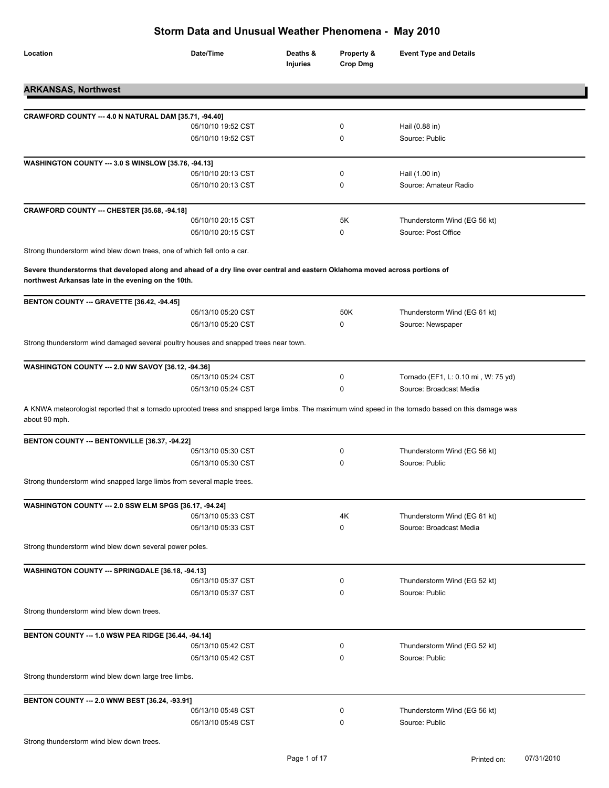| Location                                                                                                                                                                            | Date/Time          | Deaths &<br><b>Injuries</b> | Property &<br><b>Crop Dmg</b> | <b>Event Type and Details</b>       |
|-------------------------------------------------------------------------------------------------------------------------------------------------------------------------------------|--------------------|-----------------------------|-------------------------------|-------------------------------------|
| <b>ARKANSAS, Northwest</b>                                                                                                                                                          |                    |                             |                               |                                     |
| CRAWFORD COUNTY --- 4.0 N NATURAL DAM [35.71, -94.40]                                                                                                                               |                    |                             |                               |                                     |
|                                                                                                                                                                                     | 05/10/10 19:52 CST |                             | 0                             | Hail (0.88 in)                      |
|                                                                                                                                                                                     | 05/10/10 19:52 CST |                             | 0                             | Source: Public                      |
| WASHINGTON COUNTY --- 3.0 S WINSLOW [35.76, -94.13]                                                                                                                                 |                    |                             |                               |                                     |
|                                                                                                                                                                                     | 05/10/10 20:13 CST |                             | 0                             | Hail (1.00 in)                      |
|                                                                                                                                                                                     | 05/10/10 20:13 CST |                             | 0                             | Source: Amateur Radio               |
| CRAWFORD COUNTY --- CHESTER [35.68, -94.18]                                                                                                                                         |                    |                             |                               |                                     |
|                                                                                                                                                                                     | 05/10/10 20:15 CST |                             | 5K                            | Thunderstorm Wind (EG 56 kt)        |
|                                                                                                                                                                                     | 05/10/10 20:15 CST |                             | 0                             | Source: Post Office                 |
| Strong thunderstorm wind blew down trees, one of which fell onto a car.                                                                                                             |                    |                             |                               |                                     |
| Severe thunderstorms that developed along and ahead of a dry line over central and eastern Oklahoma moved across portions of<br>northwest Arkansas late in the evening on the 10th. |                    |                             |                               |                                     |
| BENTON COUNTY --- GRAVETTE [36.42, -94.45]                                                                                                                                          |                    |                             |                               |                                     |
|                                                                                                                                                                                     | 05/13/10 05:20 CST |                             | 50K                           | Thunderstorm Wind (EG 61 kt)        |
|                                                                                                                                                                                     | 05/13/10 05:20 CST |                             | 0                             | Source: Newspaper                   |
| Strong thunderstorm wind damaged several poultry houses and snapped trees near town.                                                                                                |                    |                             |                               |                                     |
| WASHINGTON COUNTY --- 2.0 NW SAVOY [36.12, -94.36]                                                                                                                                  |                    |                             |                               |                                     |
|                                                                                                                                                                                     | 05/13/10 05:24 CST |                             | 0                             | Tornado (EF1, L: 0.10 mi, W: 75 yd) |
|                                                                                                                                                                                     | 05/13/10 05:24 CST |                             | 0                             | Source: Broadcast Media             |
| A KNWA meteorologist reported that a tornado uprooted trees and snapped large limbs. The maximum wind speed in the tornado based on this damage was<br>about 90 mph.                |                    |                             |                               |                                     |
| BENTON COUNTY --- BENTONVILLE [36.37, -94.22]                                                                                                                                       |                    |                             |                               |                                     |
|                                                                                                                                                                                     | 05/13/10 05:30 CST |                             | 0                             | Thunderstorm Wind (EG 56 kt)        |
|                                                                                                                                                                                     | 05/13/10 05:30 CST |                             | 0                             | Source: Public                      |
| Strong thunderstorm wind snapped large limbs from several maple trees.                                                                                                              |                    |                             |                               |                                     |
| <b>WASHINGTON COUNTY --- 2.0 SSW ELM SPGS [36.17, -94.24]</b>                                                                                                                       |                    |                             |                               |                                     |
|                                                                                                                                                                                     | 05/13/10 05:33 CST |                             | 4Κ                            | Thunderstorm Wind (EG 61 kt)        |
|                                                                                                                                                                                     | 05/13/10 05:33 CST |                             | 0                             | Source: Broadcast Media             |
| Strong thunderstorm wind blew down several power poles.                                                                                                                             |                    |                             |                               |                                     |
| WASHINGTON COUNTY --- SPRINGDALE [36.18, -94.13]                                                                                                                                    |                    |                             |                               |                                     |
|                                                                                                                                                                                     | 05/13/10 05:37 CST |                             | 0                             | Thunderstorm Wind (EG 52 kt)        |
|                                                                                                                                                                                     | 05/13/10 05:37 CST |                             | 0                             | Source: Public                      |
| Strong thunderstorm wind blew down trees.                                                                                                                                           |                    |                             |                               |                                     |
|                                                                                                                                                                                     |                    |                             |                               |                                     |
| BENTON COUNTY --- 1.0 WSW PEA RIDGE [36.44, -94.14]                                                                                                                                 | 05/13/10 05:42 CST |                             | 0                             | Thunderstorm Wind (EG 52 kt)        |
|                                                                                                                                                                                     | 05/13/10 05:42 CST |                             | 0                             | Source: Public                      |
| Strong thunderstorm wind blew down large tree limbs.                                                                                                                                |                    |                             |                               |                                     |
| BENTON COUNTY --- 2.0 WNW BEST [36.24, -93.91]                                                                                                                                      |                    |                             |                               |                                     |
|                                                                                                                                                                                     | 05/13/10 05:48 CST |                             | 0                             | Thunderstorm Wind (EG 56 kt)        |
|                                                                                                                                                                                     | 05/13/10 05:48 CST |                             | 0                             | Source: Public                      |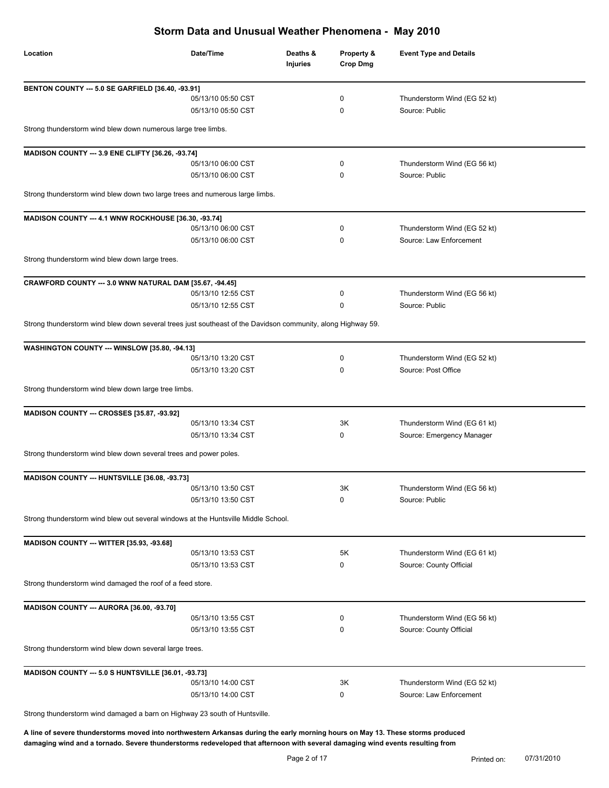| Location                                                                                                     | Date/Time          | Deaths &<br>Injuries | Property &<br><b>Crop Dmg</b> | <b>Event Type and Details</b> |
|--------------------------------------------------------------------------------------------------------------|--------------------|----------------------|-------------------------------|-------------------------------|
| BENTON COUNTY --- 5.0 SE GARFIELD [36.40, -93.91]                                                            |                    |                      |                               |                               |
|                                                                                                              | 05/13/10 05:50 CST |                      | 0                             | Thunderstorm Wind (EG 52 kt)  |
|                                                                                                              | 05/13/10 05:50 CST |                      | 0                             | Source: Public                |
| Strong thunderstorm wind blew down numerous large tree limbs.                                                |                    |                      |                               |                               |
| MADISON COUNTY --- 3.9 ENE CLIFTY [36.26, -93.74]                                                            |                    |                      |                               |                               |
|                                                                                                              | 05/13/10 06:00 CST |                      | 0                             | Thunderstorm Wind (EG 56 kt)  |
|                                                                                                              | 05/13/10 06:00 CST |                      | 0                             | Source: Public                |
| Strong thunderstorm wind blew down two large trees and numerous large limbs.                                 |                    |                      |                               |                               |
| MADISON COUNTY --- 4.1 WNW ROCKHOUSE [36.30, -93.74]                                                         |                    |                      |                               |                               |
|                                                                                                              | 05/13/10 06:00 CST |                      | 0                             | Thunderstorm Wind (EG 52 kt)  |
|                                                                                                              | 05/13/10 06:00 CST |                      | 0                             | Source: Law Enforcement       |
| Strong thunderstorm wind blew down large trees.                                                              |                    |                      |                               |                               |
| CRAWFORD COUNTY --- 3.0 WNW NATURAL DAM [35.67, -94.45]                                                      |                    |                      |                               |                               |
|                                                                                                              | 05/13/10 12:55 CST |                      | 0                             | Thunderstorm Wind (EG 56 kt)  |
|                                                                                                              | 05/13/10 12:55 CST |                      | 0                             | Source: Public                |
| Strong thunderstorm wind blew down several trees just southeast of the Davidson community, along Highway 59. |                    |                      |                               |                               |
| WASHINGTON COUNTY --- WINSLOW [35.80, -94.13]                                                                |                    |                      |                               |                               |
|                                                                                                              | 05/13/10 13:20 CST |                      | 0                             | Thunderstorm Wind (EG 52 kt)  |
|                                                                                                              | 05/13/10 13:20 CST |                      | 0                             | Source: Post Office           |
| Strong thunderstorm wind blew down large tree limbs.                                                         |                    |                      |                               |                               |
| MADISON COUNTY --- CROSSES [35.87, -93.92]                                                                   |                    |                      |                               |                               |
|                                                                                                              | 05/13/10 13:34 CST |                      | 3K                            | Thunderstorm Wind (EG 61 kt)  |
|                                                                                                              | 05/13/10 13:34 CST |                      | 0                             | Source: Emergency Manager     |
| Strong thunderstorm wind blew down several trees and power poles.                                            |                    |                      |                               |                               |
| MADISON COUNTY --- HUNTSVILLE [36.08, -93.73]                                                                |                    |                      |                               |                               |
|                                                                                                              | 05/13/10 13:50 CST |                      | 3K                            | Thunderstorm Wind (EG 56 kt)  |
|                                                                                                              | 05/13/10 13:50 CST |                      | 0                             | Source: Public                |
| Strong thunderstorm wind blew out several windows at the Huntsville Middle School.                           |                    |                      |                               |                               |
| MADISON COUNTY --- WITTER [35.93, -93.68]                                                                    |                    |                      |                               |                               |
|                                                                                                              | 05/13/10 13:53 CST |                      | 5K                            | Thunderstorm Wind (EG 61 kt)  |
|                                                                                                              | 05/13/10 13:53 CST |                      | 0                             | Source: County Official       |
| Strong thunderstorm wind damaged the roof of a feed store.                                                   |                    |                      |                               |                               |
| MADISON COUNTY --- AURORA [36.00, -93.70]                                                                    |                    |                      |                               |                               |
|                                                                                                              | 05/13/10 13:55 CST |                      | 0                             | Thunderstorm Wind (EG 56 kt)  |
|                                                                                                              | 05/13/10 13:55 CST |                      | 0                             | Source: County Official       |
| Strong thunderstorm wind blew down several large trees.                                                      |                    |                      |                               |                               |
| MADISON COUNTY --- 5.0 S HUNTSVILLE [36.01, -93.73]                                                          |                    |                      |                               |                               |
|                                                                                                              | 05/13/10 14:00 CST |                      | 3K                            | Thunderstorm Wind (EG 52 kt)  |
|                                                                                                              | 05/13/10 14:00 CST |                      | 0                             | Source: Law Enforcement       |

Strong thunderstorm wind damaged a barn on Highway 23 south of Huntsville.

**A line of severe thunderstorms moved into northwestern Arkansas during the early morning hours on May 13. These storms produced damaging wind and a tornado. Severe thunderstorms redeveloped that afternoon with several damaging wind events resulting from**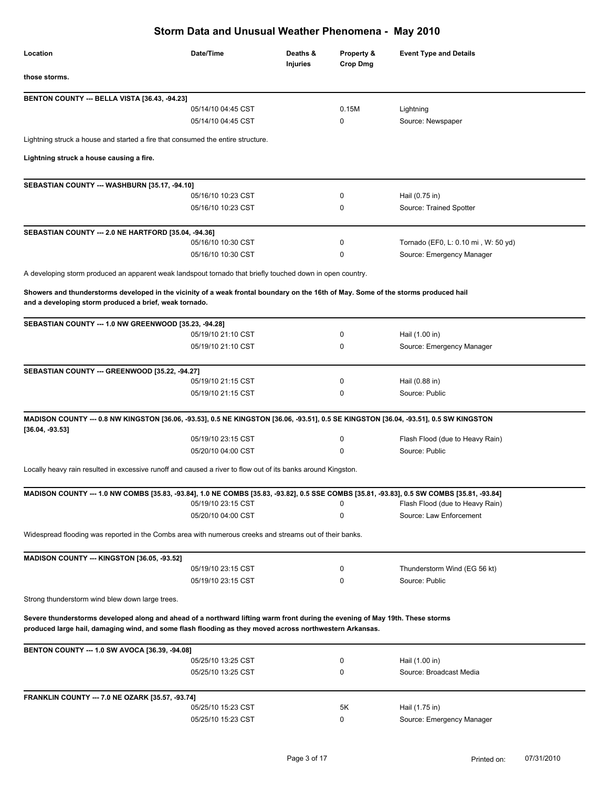| Location                                                                                                                                                                                      | Date/Time          | Deaths &<br><b>Injuries</b> | Property &<br>Crop Dmg | <b>Event Type and Details</b>       |
|-----------------------------------------------------------------------------------------------------------------------------------------------------------------------------------------------|--------------------|-----------------------------|------------------------|-------------------------------------|
| those storms.                                                                                                                                                                                 |                    |                             |                        |                                     |
| BENTON COUNTY --- BELLA VISTA [36.43, -94.23]                                                                                                                                                 |                    |                             |                        |                                     |
|                                                                                                                                                                                               | 05/14/10 04:45 CST |                             | 0.15M                  | Lightning                           |
|                                                                                                                                                                                               | 05/14/10 04:45 CST |                             | 0                      | Source: Newspaper                   |
| Lightning struck a house and started a fire that consumed the entire structure.                                                                                                               |                    |                             |                        |                                     |
| Lightning struck a house causing a fire.                                                                                                                                                      |                    |                             |                        |                                     |
|                                                                                                                                                                                               |                    |                             |                        |                                     |
| SEBASTIAN COUNTY --- WASHBURN [35.17, -94.10]                                                                                                                                                 |                    |                             |                        |                                     |
|                                                                                                                                                                                               | 05/16/10 10:23 CST |                             | 0                      | Hail (0.75 in)                      |
|                                                                                                                                                                                               | 05/16/10 10:23 CST |                             | 0                      | Source: Trained Spotter             |
| SEBASTIAN COUNTY --- 2.0 NE HARTFORD [35.04, -94.36]                                                                                                                                          |                    |                             |                        |                                     |
|                                                                                                                                                                                               | 05/16/10 10:30 CST |                             | 0                      | Tornado (EF0, L: 0.10 mi, W: 50 yd) |
|                                                                                                                                                                                               | 05/16/10 10:30 CST |                             | 0                      | Source: Emergency Manager           |
| A developing storm produced an apparent weak landspout tornado that briefly touched down in open country.                                                                                     |                    |                             |                        |                                     |
|                                                                                                                                                                                               |                    |                             |                        |                                     |
| Showers and thunderstorms developed in the vicinity of a weak frontal boundary on the 16th of May. Some of the storms produced hail<br>and a developing storm produced a brief, weak tornado. |                    |                             |                        |                                     |
| SEBASTIAN COUNTY --- 1.0 NW GREENWOOD [35.23, -94.28]                                                                                                                                         |                    |                             |                        |                                     |
|                                                                                                                                                                                               | 05/19/10 21:10 CST |                             | 0                      | Hail (1.00 in)                      |
|                                                                                                                                                                                               | 05/19/10 21:10 CST |                             | 0                      | Source: Emergency Manager           |
|                                                                                                                                                                                               |                    |                             |                        |                                     |
| SEBASTIAN COUNTY --- GREENWOOD [35.22, -94.27]                                                                                                                                                |                    |                             |                        |                                     |
|                                                                                                                                                                                               | 05/19/10 21:15 CST |                             | 0                      | Hail (0.88 in)                      |
|                                                                                                                                                                                               | 05/19/10 21:15 CST |                             | 0                      | Source: Public                      |
|                                                                                                                                                                                               |                    |                             |                        |                                     |
| MADISON COUNTY --- 0.8 NW KINGSTON [36.06, -93.53], 0.5 NE KINGSTON [36.06, -93.51], 0.5 SE KINGSTON [36.04, -93.51], 0.5 SW KINGSTON                                                         |                    |                             |                        |                                     |
| $[36.04, -93.53]$                                                                                                                                                                             | 05/19/10 23:15 CST |                             | 0                      | Flash Flood (due to Heavy Rain)     |
|                                                                                                                                                                                               | 05/20/10 04:00 CST |                             | 0                      | Source: Public                      |
|                                                                                                                                                                                               |                    |                             |                        |                                     |
| Locally heavy rain resulted in excessive runoff and caused a river to flow out of its banks around Kingston.                                                                                  |                    |                             |                        |                                     |
| MADISON COUNTY --- 1.0 NW COMBS [35.83, -93.84], 1.0 NE COMBS [35.83, -93.82], 0.5 SSE COMBS [35.81, -93.83], 0.5 SW COMBS [35.81, -93.84]                                                    |                    |                             |                        |                                     |
|                                                                                                                                                                                               | 05/19/10 23:15 CST |                             | 0                      | Flash Flood (due to Heavy Rain)     |
|                                                                                                                                                                                               | 05/20/10 04:00 CST |                             | 0                      | Source: Law Enforcement             |
| Widespread flooding was reported in the Combs area with numerous creeks and streams out of their banks.                                                                                       |                    |                             |                        |                                     |
|                                                                                                                                                                                               |                    |                             |                        |                                     |
| MADISON COUNTY --- KINGSTON [36.05, -93.52]                                                                                                                                                   | 05/19/10 23:15 CST |                             | 0                      | Thunderstorm Wind (EG 56 kt)        |
|                                                                                                                                                                                               | 05/19/10 23:15 CST |                             | 0                      | Source: Public                      |
|                                                                                                                                                                                               |                    |                             |                        |                                     |
| Strong thunderstorm wind blew down large trees.                                                                                                                                               |                    |                             |                        |                                     |
| Severe thunderstorms developed along and ahead of a northward lifting warm front during the evening of May 19th. These storms                                                                 |                    |                             |                        |                                     |
| produced large hail, damaging wind, and some flash flooding as they moved across northwestern Arkansas.                                                                                       |                    |                             |                        |                                     |
| <b>BENTON COUNTY --- 1.0 SW AVOCA [36.39, -94.08]</b>                                                                                                                                         |                    |                             |                        |                                     |
|                                                                                                                                                                                               | 05/25/10 13:25 CST |                             | 0                      | Hail (1.00 in)                      |
|                                                                                                                                                                                               | 05/25/10 13:25 CST |                             | 0                      | Source: Broadcast Media             |
|                                                                                                                                                                                               |                    |                             |                        |                                     |
| <b>FRANKLIN COUNTY --- 7.0 NE OZARK [35.57, -93.74]</b>                                                                                                                                       | 05/25/10 15:23 CST |                             | 5K                     | Hail (1.75 in)                      |
|                                                                                                                                                                                               | 05/25/10 15:23 CST |                             | 0                      | Source: Emergency Manager           |
|                                                                                                                                                                                               |                    |                             |                        |                                     |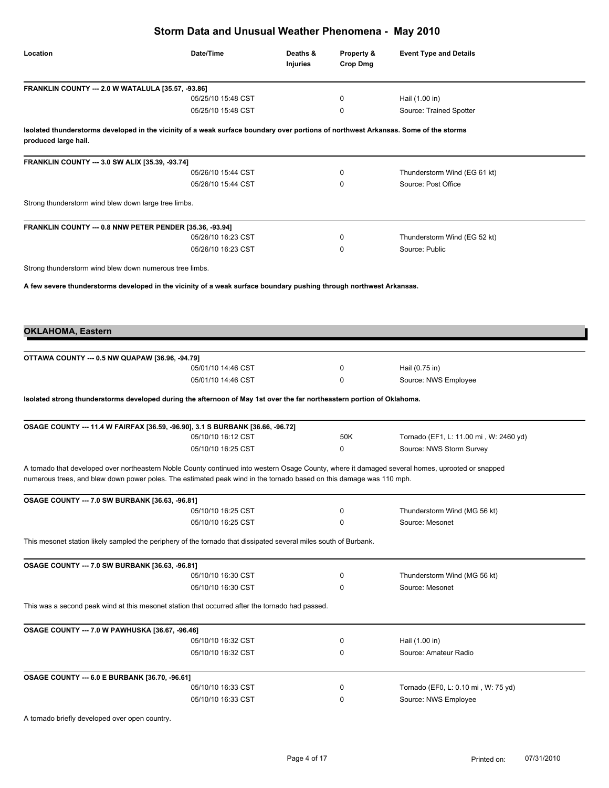| Date/Time<br>Deaths &<br>Property &<br><b>Event Type and Details</b><br><b>Injuries</b><br><b>Crop Dmg</b><br>FRANKLIN COUNTY --- 2.0 W WATALULA [35.57, -93.86]<br>05/25/10 15:48 CST<br>0<br>Hail (1.00 in)<br>Source: Trained Spotter<br>05/25/10 15:48 CST<br>0<br>Isolated thunderstorms developed in the vicinity of a weak surface boundary over portions of northwest Arkansas. Some of the storms<br>FRANKLIN COUNTY --- 3.0 SW ALIX [35.39, -93.74]<br>05/26/10 15:44 CST<br>0<br>Thunderstorm Wind (EG 61 kt)<br>05/26/10 15:44 CST<br>Source: Post Office<br>0<br>Strong thunderstorm wind blew down large tree limbs.<br>FRANKLIN COUNTY --- 0.8 NNW PETER PENDER [35.36, -93.94]<br>05/26/10 16:23 CST<br>0<br>Thunderstorm Wind (EG 52 kt)<br>Source: Public<br>05/26/10 16:23 CST<br>0<br>Strong thunderstorm wind blew down numerous tree limbs.<br>A few severe thunderstorms developed in the vicinity of a weak surface boundary pushing through northwest Arkansas.<br>OTTAWA COUNTY --- 0.5 NW QUAPAW [36.96, -94.79]<br>05/01/10 14:46 CST<br>0<br>Hail (0.75 in)<br>05/01/10 14:46 CST<br>Source: NWS Employee<br>0<br>Isolated strong thunderstorms developed during the afternoon of May 1st over the far northeastern portion of Oklahoma.<br>OSAGE COUNTY --- 11.4 W FAIRFAX [36.59, -96.90], 3.1 S BURBANK [36.66, -96.72]<br>Tornado (EF1, L: 11.00 mi, W: 2460 yd)<br>05/10/10 16:12 CST<br>50K<br>Source: NWS Storm Survey<br>05/10/10 16:25 CST<br>0<br>A tornado that developed over northeastern Noble County continued into western Osage County, where it damaged several homes, uprooted or snapped<br>numerous trees, and blew down power poles. The estimated peak wind in the tornado based on this damage was 110 mph.<br>OSAGE COUNTY --- 7.0 SW BURBANK [36.63, -96.81]<br>05/10/10 16:25 CST<br>0<br>Thunderstorm Wind (MG 56 kt)<br>Source: Mesonet<br>05/10/10 16:25 CST<br>0<br>This mesonet station likely sampled the periphery of the tornado that dissipated several miles south of Burbank.<br>OSAGE COUNTY --- 7.0 SW BURBANK [36.63, -96.81]<br>05/10/10 16:30 CST<br>Thunderstorm Wind (MG 56 kt)<br>0<br>Source: Mesonet<br>05/10/10 16:30 CST<br>0<br>This was a second peak wind at this mesonet station that occurred after the tornado had passed.<br>OSAGE COUNTY --- 7.0 W PAWHUSKA [36.67, -96.46]<br>05/10/10 16:32 CST<br>Hail (1.00 in)<br>0<br>05/10/10 16:32 CST<br>Source: Amateur Radio<br>0<br><b>OSAGE COUNTY --- 6.0 E BURBANK [36.70, -96.61]</b><br>Tornado (EF0, L: 0.10 mi, W: 75 yd)<br>05/10/10 16:33 CST<br>0<br>Source: NWS Employee<br>05/10/10 16:33 CST<br>0 | Storm Data and Unusual Weather Phenomena - May 2010 |  |  |  |  |  |
|---------------------------------------------------------------------------------------------------------------------------------------------------------------------------------------------------------------------------------------------------------------------------------------------------------------------------------------------------------------------------------------------------------------------------------------------------------------------------------------------------------------------------------------------------------------------------------------------------------------------------------------------------------------------------------------------------------------------------------------------------------------------------------------------------------------------------------------------------------------------------------------------------------------------------------------------------------------------------------------------------------------------------------------------------------------------------------------------------------------------------------------------------------------------------------------------------------------------------------------------------------------------------------------------------------------------------------------------------------------------------------------------------------------------------------------------------------------------------------------------------------------------------------------------------------------------------------------------------------------------------------------------------------------------------------------------------------------------------------------------------------------------------------------------------------------------------------------------------------------------------------------------------------------------------------------------------------------------------------------------------------------------------------------------------------------------------------------------------------------------------------------------------------------------------------------------------------------------------------------------------------------------------------------------------------------------------------------------------------------------------------------------------------------------------------------------------------------------------------------------------------------------------------------------------------------------------------------------------------------------------------------------------|-----------------------------------------------------|--|--|--|--|--|
|                                                                                                                                                                                                                                                                                                                                                                                                                                                                                                                                                                                                                                                                                                                                                                                                                                                                                                                                                                                                                                                                                                                                                                                                                                                                                                                                                                                                                                                                                                                                                                                                                                                                                                                                                                                                                                                                                                                                                                                                                                                                                                                                                                                                                                                                                                                                                                                                                                                                                                                                                                                                                                                   | Location                                            |  |  |  |  |  |
|                                                                                                                                                                                                                                                                                                                                                                                                                                                                                                                                                                                                                                                                                                                                                                                                                                                                                                                                                                                                                                                                                                                                                                                                                                                                                                                                                                                                                                                                                                                                                                                                                                                                                                                                                                                                                                                                                                                                                                                                                                                                                                                                                                                                                                                                                                                                                                                                                                                                                                                                                                                                                                                   |                                                     |  |  |  |  |  |
|                                                                                                                                                                                                                                                                                                                                                                                                                                                                                                                                                                                                                                                                                                                                                                                                                                                                                                                                                                                                                                                                                                                                                                                                                                                                                                                                                                                                                                                                                                                                                                                                                                                                                                                                                                                                                                                                                                                                                                                                                                                                                                                                                                                                                                                                                                                                                                                                                                                                                                                                                                                                                                                   |                                                     |  |  |  |  |  |
|                                                                                                                                                                                                                                                                                                                                                                                                                                                                                                                                                                                                                                                                                                                                                                                                                                                                                                                                                                                                                                                                                                                                                                                                                                                                                                                                                                                                                                                                                                                                                                                                                                                                                                                                                                                                                                                                                                                                                                                                                                                                                                                                                                                                                                                                                                                                                                                                                                                                                                                                                                                                                                                   |                                                     |  |  |  |  |  |
|                                                                                                                                                                                                                                                                                                                                                                                                                                                                                                                                                                                                                                                                                                                                                                                                                                                                                                                                                                                                                                                                                                                                                                                                                                                                                                                                                                                                                                                                                                                                                                                                                                                                                                                                                                                                                                                                                                                                                                                                                                                                                                                                                                                                                                                                                                                                                                                                                                                                                                                                                                                                                                                   | produced large hail.                                |  |  |  |  |  |
|                                                                                                                                                                                                                                                                                                                                                                                                                                                                                                                                                                                                                                                                                                                                                                                                                                                                                                                                                                                                                                                                                                                                                                                                                                                                                                                                                                                                                                                                                                                                                                                                                                                                                                                                                                                                                                                                                                                                                                                                                                                                                                                                                                                                                                                                                                                                                                                                                                                                                                                                                                                                                                                   |                                                     |  |  |  |  |  |
|                                                                                                                                                                                                                                                                                                                                                                                                                                                                                                                                                                                                                                                                                                                                                                                                                                                                                                                                                                                                                                                                                                                                                                                                                                                                                                                                                                                                                                                                                                                                                                                                                                                                                                                                                                                                                                                                                                                                                                                                                                                                                                                                                                                                                                                                                                                                                                                                                                                                                                                                                                                                                                                   |                                                     |  |  |  |  |  |
|                                                                                                                                                                                                                                                                                                                                                                                                                                                                                                                                                                                                                                                                                                                                                                                                                                                                                                                                                                                                                                                                                                                                                                                                                                                                                                                                                                                                                                                                                                                                                                                                                                                                                                                                                                                                                                                                                                                                                                                                                                                                                                                                                                                                                                                                                                                                                                                                                                                                                                                                                                                                                                                   |                                                     |  |  |  |  |  |
|                                                                                                                                                                                                                                                                                                                                                                                                                                                                                                                                                                                                                                                                                                                                                                                                                                                                                                                                                                                                                                                                                                                                                                                                                                                                                                                                                                                                                                                                                                                                                                                                                                                                                                                                                                                                                                                                                                                                                                                                                                                                                                                                                                                                                                                                                                                                                                                                                                                                                                                                                                                                                                                   |                                                     |  |  |  |  |  |
|                                                                                                                                                                                                                                                                                                                                                                                                                                                                                                                                                                                                                                                                                                                                                                                                                                                                                                                                                                                                                                                                                                                                                                                                                                                                                                                                                                                                                                                                                                                                                                                                                                                                                                                                                                                                                                                                                                                                                                                                                                                                                                                                                                                                                                                                                                                                                                                                                                                                                                                                                                                                                                                   |                                                     |  |  |  |  |  |
|                                                                                                                                                                                                                                                                                                                                                                                                                                                                                                                                                                                                                                                                                                                                                                                                                                                                                                                                                                                                                                                                                                                                                                                                                                                                                                                                                                                                                                                                                                                                                                                                                                                                                                                                                                                                                                                                                                                                                                                                                                                                                                                                                                                                                                                                                                                                                                                                                                                                                                                                                                                                                                                   |                                                     |  |  |  |  |  |
|                                                                                                                                                                                                                                                                                                                                                                                                                                                                                                                                                                                                                                                                                                                                                                                                                                                                                                                                                                                                                                                                                                                                                                                                                                                                                                                                                                                                                                                                                                                                                                                                                                                                                                                                                                                                                                                                                                                                                                                                                                                                                                                                                                                                                                                                                                                                                                                                                                                                                                                                                                                                                                                   |                                                     |  |  |  |  |  |
|                                                                                                                                                                                                                                                                                                                                                                                                                                                                                                                                                                                                                                                                                                                                                                                                                                                                                                                                                                                                                                                                                                                                                                                                                                                                                                                                                                                                                                                                                                                                                                                                                                                                                                                                                                                                                                                                                                                                                                                                                                                                                                                                                                                                                                                                                                                                                                                                                                                                                                                                                                                                                                                   |                                                     |  |  |  |  |  |
|                                                                                                                                                                                                                                                                                                                                                                                                                                                                                                                                                                                                                                                                                                                                                                                                                                                                                                                                                                                                                                                                                                                                                                                                                                                                                                                                                                                                                                                                                                                                                                                                                                                                                                                                                                                                                                                                                                                                                                                                                                                                                                                                                                                                                                                                                                                                                                                                                                                                                                                                                                                                                                                   |                                                     |  |  |  |  |  |
|                                                                                                                                                                                                                                                                                                                                                                                                                                                                                                                                                                                                                                                                                                                                                                                                                                                                                                                                                                                                                                                                                                                                                                                                                                                                                                                                                                                                                                                                                                                                                                                                                                                                                                                                                                                                                                                                                                                                                                                                                                                                                                                                                                                                                                                                                                                                                                                                                                                                                                                                                                                                                                                   |                                                     |  |  |  |  |  |
|                                                                                                                                                                                                                                                                                                                                                                                                                                                                                                                                                                                                                                                                                                                                                                                                                                                                                                                                                                                                                                                                                                                                                                                                                                                                                                                                                                                                                                                                                                                                                                                                                                                                                                                                                                                                                                                                                                                                                                                                                                                                                                                                                                                                                                                                                                                                                                                                                                                                                                                                                                                                                                                   |                                                     |  |  |  |  |  |
|                                                                                                                                                                                                                                                                                                                                                                                                                                                                                                                                                                                                                                                                                                                                                                                                                                                                                                                                                                                                                                                                                                                                                                                                                                                                                                                                                                                                                                                                                                                                                                                                                                                                                                                                                                                                                                                                                                                                                                                                                                                                                                                                                                                                                                                                                                                                                                                                                                                                                                                                                                                                                                                   |                                                     |  |  |  |  |  |
|                                                                                                                                                                                                                                                                                                                                                                                                                                                                                                                                                                                                                                                                                                                                                                                                                                                                                                                                                                                                                                                                                                                                                                                                                                                                                                                                                                                                                                                                                                                                                                                                                                                                                                                                                                                                                                                                                                                                                                                                                                                                                                                                                                                                                                                                                                                                                                                                                                                                                                                                                                                                                                                   | <b>OKLAHOMA, Eastern</b>                            |  |  |  |  |  |
|                                                                                                                                                                                                                                                                                                                                                                                                                                                                                                                                                                                                                                                                                                                                                                                                                                                                                                                                                                                                                                                                                                                                                                                                                                                                                                                                                                                                                                                                                                                                                                                                                                                                                                                                                                                                                                                                                                                                                                                                                                                                                                                                                                                                                                                                                                                                                                                                                                                                                                                                                                                                                                                   |                                                     |  |  |  |  |  |
|                                                                                                                                                                                                                                                                                                                                                                                                                                                                                                                                                                                                                                                                                                                                                                                                                                                                                                                                                                                                                                                                                                                                                                                                                                                                                                                                                                                                                                                                                                                                                                                                                                                                                                                                                                                                                                                                                                                                                                                                                                                                                                                                                                                                                                                                                                                                                                                                                                                                                                                                                                                                                                                   |                                                     |  |  |  |  |  |
|                                                                                                                                                                                                                                                                                                                                                                                                                                                                                                                                                                                                                                                                                                                                                                                                                                                                                                                                                                                                                                                                                                                                                                                                                                                                                                                                                                                                                                                                                                                                                                                                                                                                                                                                                                                                                                                                                                                                                                                                                                                                                                                                                                                                                                                                                                                                                                                                                                                                                                                                                                                                                                                   |                                                     |  |  |  |  |  |
|                                                                                                                                                                                                                                                                                                                                                                                                                                                                                                                                                                                                                                                                                                                                                                                                                                                                                                                                                                                                                                                                                                                                                                                                                                                                                                                                                                                                                                                                                                                                                                                                                                                                                                                                                                                                                                                                                                                                                                                                                                                                                                                                                                                                                                                                                                                                                                                                                                                                                                                                                                                                                                                   |                                                     |  |  |  |  |  |
|                                                                                                                                                                                                                                                                                                                                                                                                                                                                                                                                                                                                                                                                                                                                                                                                                                                                                                                                                                                                                                                                                                                                                                                                                                                                                                                                                                                                                                                                                                                                                                                                                                                                                                                                                                                                                                                                                                                                                                                                                                                                                                                                                                                                                                                                                                                                                                                                                                                                                                                                                                                                                                                   |                                                     |  |  |  |  |  |
|                                                                                                                                                                                                                                                                                                                                                                                                                                                                                                                                                                                                                                                                                                                                                                                                                                                                                                                                                                                                                                                                                                                                                                                                                                                                                                                                                                                                                                                                                                                                                                                                                                                                                                                                                                                                                                                                                                                                                                                                                                                                                                                                                                                                                                                                                                                                                                                                                                                                                                                                                                                                                                                   |                                                     |  |  |  |  |  |
|                                                                                                                                                                                                                                                                                                                                                                                                                                                                                                                                                                                                                                                                                                                                                                                                                                                                                                                                                                                                                                                                                                                                                                                                                                                                                                                                                                                                                                                                                                                                                                                                                                                                                                                                                                                                                                                                                                                                                                                                                                                                                                                                                                                                                                                                                                                                                                                                                                                                                                                                                                                                                                                   |                                                     |  |  |  |  |  |
|                                                                                                                                                                                                                                                                                                                                                                                                                                                                                                                                                                                                                                                                                                                                                                                                                                                                                                                                                                                                                                                                                                                                                                                                                                                                                                                                                                                                                                                                                                                                                                                                                                                                                                                                                                                                                                                                                                                                                                                                                                                                                                                                                                                                                                                                                                                                                                                                                                                                                                                                                                                                                                                   |                                                     |  |  |  |  |  |
|                                                                                                                                                                                                                                                                                                                                                                                                                                                                                                                                                                                                                                                                                                                                                                                                                                                                                                                                                                                                                                                                                                                                                                                                                                                                                                                                                                                                                                                                                                                                                                                                                                                                                                                                                                                                                                                                                                                                                                                                                                                                                                                                                                                                                                                                                                                                                                                                                                                                                                                                                                                                                                                   |                                                     |  |  |  |  |  |
|                                                                                                                                                                                                                                                                                                                                                                                                                                                                                                                                                                                                                                                                                                                                                                                                                                                                                                                                                                                                                                                                                                                                                                                                                                                                                                                                                                                                                                                                                                                                                                                                                                                                                                                                                                                                                                                                                                                                                                                                                                                                                                                                                                                                                                                                                                                                                                                                                                                                                                                                                                                                                                                   |                                                     |  |  |  |  |  |
|                                                                                                                                                                                                                                                                                                                                                                                                                                                                                                                                                                                                                                                                                                                                                                                                                                                                                                                                                                                                                                                                                                                                                                                                                                                                                                                                                                                                                                                                                                                                                                                                                                                                                                                                                                                                                                                                                                                                                                                                                                                                                                                                                                                                                                                                                                                                                                                                                                                                                                                                                                                                                                                   |                                                     |  |  |  |  |  |
|                                                                                                                                                                                                                                                                                                                                                                                                                                                                                                                                                                                                                                                                                                                                                                                                                                                                                                                                                                                                                                                                                                                                                                                                                                                                                                                                                                                                                                                                                                                                                                                                                                                                                                                                                                                                                                                                                                                                                                                                                                                                                                                                                                                                                                                                                                                                                                                                                                                                                                                                                                                                                                                   |                                                     |  |  |  |  |  |
|                                                                                                                                                                                                                                                                                                                                                                                                                                                                                                                                                                                                                                                                                                                                                                                                                                                                                                                                                                                                                                                                                                                                                                                                                                                                                                                                                                                                                                                                                                                                                                                                                                                                                                                                                                                                                                                                                                                                                                                                                                                                                                                                                                                                                                                                                                                                                                                                                                                                                                                                                                                                                                                   |                                                     |  |  |  |  |  |
|                                                                                                                                                                                                                                                                                                                                                                                                                                                                                                                                                                                                                                                                                                                                                                                                                                                                                                                                                                                                                                                                                                                                                                                                                                                                                                                                                                                                                                                                                                                                                                                                                                                                                                                                                                                                                                                                                                                                                                                                                                                                                                                                                                                                                                                                                                                                                                                                                                                                                                                                                                                                                                                   |                                                     |  |  |  |  |  |
|                                                                                                                                                                                                                                                                                                                                                                                                                                                                                                                                                                                                                                                                                                                                                                                                                                                                                                                                                                                                                                                                                                                                                                                                                                                                                                                                                                                                                                                                                                                                                                                                                                                                                                                                                                                                                                                                                                                                                                                                                                                                                                                                                                                                                                                                                                                                                                                                                                                                                                                                                                                                                                                   |                                                     |  |  |  |  |  |
|                                                                                                                                                                                                                                                                                                                                                                                                                                                                                                                                                                                                                                                                                                                                                                                                                                                                                                                                                                                                                                                                                                                                                                                                                                                                                                                                                                                                                                                                                                                                                                                                                                                                                                                                                                                                                                                                                                                                                                                                                                                                                                                                                                                                                                                                                                                                                                                                                                                                                                                                                                                                                                                   |                                                     |  |  |  |  |  |
|                                                                                                                                                                                                                                                                                                                                                                                                                                                                                                                                                                                                                                                                                                                                                                                                                                                                                                                                                                                                                                                                                                                                                                                                                                                                                                                                                                                                                                                                                                                                                                                                                                                                                                                                                                                                                                                                                                                                                                                                                                                                                                                                                                                                                                                                                                                                                                                                                                                                                                                                                                                                                                                   |                                                     |  |  |  |  |  |
|                                                                                                                                                                                                                                                                                                                                                                                                                                                                                                                                                                                                                                                                                                                                                                                                                                                                                                                                                                                                                                                                                                                                                                                                                                                                                                                                                                                                                                                                                                                                                                                                                                                                                                                                                                                                                                                                                                                                                                                                                                                                                                                                                                                                                                                                                                                                                                                                                                                                                                                                                                                                                                                   |                                                     |  |  |  |  |  |
|                                                                                                                                                                                                                                                                                                                                                                                                                                                                                                                                                                                                                                                                                                                                                                                                                                                                                                                                                                                                                                                                                                                                                                                                                                                                                                                                                                                                                                                                                                                                                                                                                                                                                                                                                                                                                                                                                                                                                                                                                                                                                                                                                                                                                                                                                                                                                                                                                                                                                                                                                                                                                                                   |                                                     |  |  |  |  |  |
|                                                                                                                                                                                                                                                                                                                                                                                                                                                                                                                                                                                                                                                                                                                                                                                                                                                                                                                                                                                                                                                                                                                                                                                                                                                                                                                                                                                                                                                                                                                                                                                                                                                                                                                                                                                                                                                                                                                                                                                                                                                                                                                                                                                                                                                                                                                                                                                                                                                                                                                                                                                                                                                   |                                                     |  |  |  |  |  |
|                                                                                                                                                                                                                                                                                                                                                                                                                                                                                                                                                                                                                                                                                                                                                                                                                                                                                                                                                                                                                                                                                                                                                                                                                                                                                                                                                                                                                                                                                                                                                                                                                                                                                                                                                                                                                                                                                                                                                                                                                                                                                                                                                                                                                                                                                                                                                                                                                                                                                                                                                                                                                                                   |                                                     |  |  |  |  |  |
|                                                                                                                                                                                                                                                                                                                                                                                                                                                                                                                                                                                                                                                                                                                                                                                                                                                                                                                                                                                                                                                                                                                                                                                                                                                                                                                                                                                                                                                                                                                                                                                                                                                                                                                                                                                                                                                                                                                                                                                                                                                                                                                                                                                                                                                                                                                                                                                                                                                                                                                                                                                                                                                   |                                                     |  |  |  |  |  |
|                                                                                                                                                                                                                                                                                                                                                                                                                                                                                                                                                                                                                                                                                                                                                                                                                                                                                                                                                                                                                                                                                                                                                                                                                                                                                                                                                                                                                                                                                                                                                                                                                                                                                                                                                                                                                                                                                                                                                                                                                                                                                                                                                                                                                                                                                                                                                                                                                                                                                                                                                                                                                                                   |                                                     |  |  |  |  |  |
|                                                                                                                                                                                                                                                                                                                                                                                                                                                                                                                                                                                                                                                                                                                                                                                                                                                                                                                                                                                                                                                                                                                                                                                                                                                                                                                                                                                                                                                                                                                                                                                                                                                                                                                                                                                                                                                                                                                                                                                                                                                                                                                                                                                                                                                                                                                                                                                                                                                                                                                                                                                                                                                   |                                                     |  |  |  |  |  |
|                                                                                                                                                                                                                                                                                                                                                                                                                                                                                                                                                                                                                                                                                                                                                                                                                                                                                                                                                                                                                                                                                                                                                                                                                                                                                                                                                                                                                                                                                                                                                                                                                                                                                                                                                                                                                                                                                                                                                                                                                                                                                                                                                                                                                                                                                                                                                                                                                                                                                                                                                                                                                                                   |                                                     |  |  |  |  |  |

A tornado briefly developed over open country.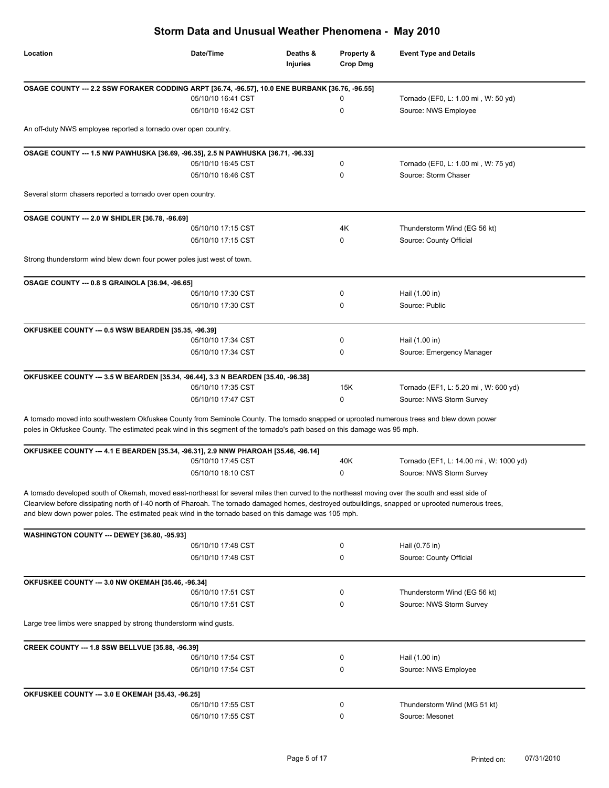| Storm Data and Unusual Weather Phenomena - May 2010                                                                                                                                                                                                                                                                                                                                                           |                                          |                             |                               |                                        |
|---------------------------------------------------------------------------------------------------------------------------------------------------------------------------------------------------------------------------------------------------------------------------------------------------------------------------------------------------------------------------------------------------------------|------------------------------------------|-----------------------------|-------------------------------|----------------------------------------|
| Location                                                                                                                                                                                                                                                                                                                                                                                                      | Date/Time                                | Deaths &<br><b>Injuries</b> | Property &<br><b>Crop Dmg</b> | <b>Event Type and Details</b>          |
| OSAGE COUNTY --- 2.2 SSW FORAKER CODDING ARPT [36.74, -96.57], 10.0 ENE BURBANK [36.76, -96.55]                                                                                                                                                                                                                                                                                                               |                                          |                             |                               |                                        |
|                                                                                                                                                                                                                                                                                                                                                                                                               | 05/10/10 16:41 CST                       |                             | 0                             | Tornado (EF0, L: 1.00 mi, W: 50 yd)    |
|                                                                                                                                                                                                                                                                                                                                                                                                               | 05/10/10 16:42 CST                       |                             | 0                             | Source: NWS Employee                   |
| An off-duty NWS employee reported a tornado over open country.                                                                                                                                                                                                                                                                                                                                                |                                          |                             |                               |                                        |
| OSAGE COUNTY --- 1.5 NW PAWHUSKA [36.69, -96.35], 2.5 N PAWHUSKA [36.71, -96.33]                                                                                                                                                                                                                                                                                                                              |                                          |                             |                               |                                        |
|                                                                                                                                                                                                                                                                                                                                                                                                               | 05/10/10 16:45 CST                       |                             | 0                             | Tornado (EF0, L: 1.00 mi, W: 75 yd)    |
|                                                                                                                                                                                                                                                                                                                                                                                                               | 05/10/10 16:46 CST                       |                             | 0                             | Source: Storm Chaser                   |
| Several storm chasers reported a tornado over open country.                                                                                                                                                                                                                                                                                                                                                   |                                          |                             |                               |                                        |
|                                                                                                                                                                                                                                                                                                                                                                                                               |                                          |                             |                               |                                        |
| OSAGE COUNTY --- 2.0 W SHIDLER [36.78, -96.69]                                                                                                                                                                                                                                                                                                                                                                | 05/10/10 17:15 CST                       |                             | 4K                            | Thunderstorm Wind (EG 56 kt)           |
|                                                                                                                                                                                                                                                                                                                                                                                                               | 05/10/10 17:15 CST                       |                             | 0                             | Source: County Official                |
| Strong thunderstorm wind blew down four power poles just west of town.                                                                                                                                                                                                                                                                                                                                        |                                          |                             |                               |                                        |
|                                                                                                                                                                                                                                                                                                                                                                                                               |                                          |                             |                               |                                        |
| OSAGE COUNTY --- 0.8 S GRAINOLA [36.94, -96.65]                                                                                                                                                                                                                                                                                                                                                               |                                          |                             |                               |                                        |
|                                                                                                                                                                                                                                                                                                                                                                                                               | 05/10/10 17:30 CST<br>05/10/10 17:30 CST |                             | 0<br>0                        | Hail (1.00 in)<br>Source: Public       |
|                                                                                                                                                                                                                                                                                                                                                                                                               |                                          |                             |                               |                                        |
| OKFUSKEE COUNTY --- 0.5 WSW BEARDEN [35.35, -96.39]                                                                                                                                                                                                                                                                                                                                                           |                                          |                             |                               |                                        |
|                                                                                                                                                                                                                                                                                                                                                                                                               | 05/10/10 17:34 CST                       |                             | 0                             | Hail (1.00 in)                         |
|                                                                                                                                                                                                                                                                                                                                                                                                               | 05/10/10 17:34 CST                       |                             | 0                             | Source: Emergency Manager              |
| OKFUSKEE COUNTY --- 3.5 W BEARDEN [35.34, -96.44], 3.3 N BEARDEN [35.40, -96.38]                                                                                                                                                                                                                                                                                                                              |                                          |                             |                               |                                        |
|                                                                                                                                                                                                                                                                                                                                                                                                               | 05/10/10 17:35 CST                       |                             | 15K                           | Tornado (EF1, L: 5.20 mi, W: 600 yd)   |
|                                                                                                                                                                                                                                                                                                                                                                                                               | 05/10/10 17:47 CST                       |                             | 0                             | Source: NWS Storm Survey               |
| A tornado moved into southwestern Okfuskee County from Seminole County. The tornado snapped or uprooted numerous trees and blew down power<br>poles in Okfuskee County. The estimated peak wind in this segment of the tornado's path based on this damage was 95 mph.                                                                                                                                        |                                          |                             |                               |                                        |
| OKFUSKEE COUNTY --- 4.1 E BEARDEN [35.34, -96.31], 2.9 NNW PHAROAH [35.46, -96.14]                                                                                                                                                                                                                                                                                                                            |                                          |                             |                               |                                        |
|                                                                                                                                                                                                                                                                                                                                                                                                               | 05/10/10 17:45 CST                       |                             | 40K                           | Tornado (EF1, L: 14.00 mi, W: 1000 yd) |
|                                                                                                                                                                                                                                                                                                                                                                                                               | 05/10/10 18:10 CST                       |                             | 0                             | Source: NWS Storm Survey               |
| A tornado developed south of Okemah, moved east-northeast for several miles then curved to the northeast moving over the south and east side of<br>Clearview before dissipating north of I-40 north of Pharoah. The tornado damaged homes, destroyed outbuildings, snapped or uprooted numerous trees,<br>and blew down power poles. The estimated peak wind in the tornado based on this damage was 105 mph. |                                          |                             |                               |                                        |
| WASHINGTON COUNTY --- DEWEY [36.80, -95.93]                                                                                                                                                                                                                                                                                                                                                                   |                                          |                             |                               |                                        |
|                                                                                                                                                                                                                                                                                                                                                                                                               | 05/10/10 17:48 CST                       |                             | 0                             | Hail (0.75 in)                         |
|                                                                                                                                                                                                                                                                                                                                                                                                               | 05/10/10 17:48 CST                       |                             | 0                             | Source: County Official                |
| OKFUSKEE COUNTY --- 3.0 NW OKEMAH [35.46, -96.34]                                                                                                                                                                                                                                                                                                                                                             |                                          |                             |                               |                                        |
|                                                                                                                                                                                                                                                                                                                                                                                                               | 05/10/10 17:51 CST                       |                             | 0                             | Thunderstorm Wind (EG 56 kt)           |
|                                                                                                                                                                                                                                                                                                                                                                                                               | 05/10/10 17:51 CST                       |                             | 0                             | Source: NWS Storm Survey               |
| Large tree limbs were snapped by strong thunderstorm wind gusts.                                                                                                                                                                                                                                                                                                                                              |                                          |                             |                               |                                        |
| CREEK COUNTY --- 1.8 SSW BELLVUE [35.88, -96.39]                                                                                                                                                                                                                                                                                                                                                              |                                          |                             |                               |                                        |
|                                                                                                                                                                                                                                                                                                                                                                                                               | 05/10/10 17:54 CST                       |                             | 0                             | Hail (1.00 in)                         |
|                                                                                                                                                                                                                                                                                                                                                                                                               | 05/10/10 17:54 CST                       |                             | 0                             | Source: NWS Employee                   |
| OKFUSKEE COUNTY --- 3.0 E OKEMAH [35.43, -96.25]                                                                                                                                                                                                                                                                                                                                                              |                                          |                             |                               |                                        |
|                                                                                                                                                                                                                                                                                                                                                                                                               | 05/10/10 17:55 CST                       |                             | 0                             | Thunderstorm Wind (MG 51 kt)           |
|                                                                                                                                                                                                                                                                                                                                                                                                               | 05/10/10 17:55 CST                       |                             | 0                             | Source: Mesonet                        |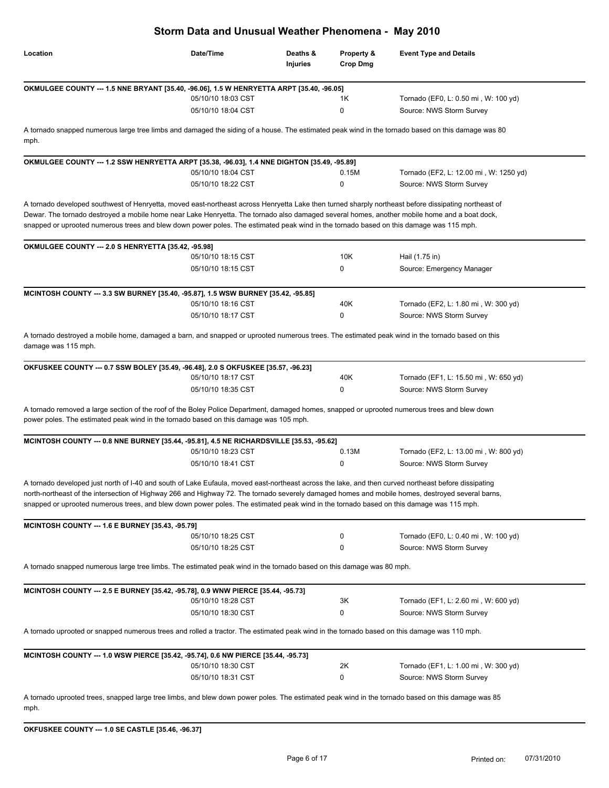|                                                                                                                                                                                                                                                                                                                                                                                                                                                                                                         | Storm Data and Unusual Weather Phenomena - May 2010 |                      |                        |                                                                   |
|---------------------------------------------------------------------------------------------------------------------------------------------------------------------------------------------------------------------------------------------------------------------------------------------------------------------------------------------------------------------------------------------------------------------------------------------------------------------------------------------------------|-----------------------------------------------------|----------------------|------------------------|-------------------------------------------------------------------|
| Location                                                                                                                                                                                                                                                                                                                                                                                                                                                                                                | Date/Time                                           | Deaths &<br>Injuries | Property &<br>Crop Dmg | <b>Event Type and Details</b>                                     |
| OKMULGEE COUNTY --- 1.5 NNE BRYANT [35.40, -96.06], 1.5 W HENRYETTA ARPT [35.40, -96.05]                                                                                                                                                                                                                                                                                                                                                                                                                |                                                     |                      |                        |                                                                   |
|                                                                                                                                                                                                                                                                                                                                                                                                                                                                                                         | 05/10/10 18:03 CST<br>05/10/10 18:04 CST            |                      | 1K<br>0                | Tornado (EF0, L: 0.50 mi, W: 100 yd)                              |
|                                                                                                                                                                                                                                                                                                                                                                                                                                                                                                         |                                                     |                      |                        | Source: NWS Storm Survey                                          |
| A tornado snapped numerous large tree limbs and damaged the siding of a house. The estimated peak wind in the tornado based on this damage was 80<br>mph.                                                                                                                                                                                                                                                                                                                                               |                                                     |                      |                        |                                                                   |
| OKMULGEE COUNTY --- 1.2 SSW HENRYETTA ARPT [35.38, -96.03], 1.4 NNE DIGHTON [35.49, -95.89]                                                                                                                                                                                                                                                                                                                                                                                                             |                                                     |                      |                        |                                                                   |
|                                                                                                                                                                                                                                                                                                                                                                                                                                                                                                         | 05/10/10 18:04 CST                                  |                      | 0.15M                  | Tornado (EF2, L: 12.00 mi, W: 1250 yd)                            |
|                                                                                                                                                                                                                                                                                                                                                                                                                                                                                                         | 05/10/10 18:22 CST                                  |                      | 0                      | Source: NWS Storm Survey                                          |
| A tornado developed southwest of Henryetta, moved east-northeast across Henryetta Lake then turned sharply northeast before dissipating northeast of<br>Dewar. The tornado destroyed a mobile home near Lake Henryetta. The tornado also damaged several homes, another mobile home and a boat dock,<br>snapped or uprooted numerous trees and blew down power poles. The estimated peak wind in the tornado based on this damage was 115 mph.                                                          |                                                     |                      |                        |                                                                   |
| OKMULGEE COUNTY --- 2.0 S HENRYETTA [35.42, -95.98]                                                                                                                                                                                                                                                                                                                                                                                                                                                     |                                                     |                      |                        |                                                                   |
|                                                                                                                                                                                                                                                                                                                                                                                                                                                                                                         | 05/10/10 18:15 CST                                  |                      | 10K                    | Hail (1.75 in)                                                    |
|                                                                                                                                                                                                                                                                                                                                                                                                                                                                                                         | 05/10/10 18:15 CST                                  |                      | 0                      | Source: Emergency Manager                                         |
| MCINTOSH COUNTY --- 3.3 SW BURNEY [35.40, -95.87], 1.5 WSW BURNEY [35.42, -95.85]                                                                                                                                                                                                                                                                                                                                                                                                                       |                                                     |                      |                        |                                                                   |
|                                                                                                                                                                                                                                                                                                                                                                                                                                                                                                         | 05/10/10 18:16 CST                                  |                      | 40K                    | Tornado (EF2, L: 1.80 mi, W: 300 yd)                              |
|                                                                                                                                                                                                                                                                                                                                                                                                                                                                                                         | 05/10/10 18:17 CST                                  |                      | 0                      | Source: NWS Storm Survey                                          |
| A tornado destroyed a mobile home, damaged a barn, and snapped or uprooted numerous trees. The estimated peak wind in the tornado based on this<br>damage was 115 mph.                                                                                                                                                                                                                                                                                                                                  |                                                     |                      |                        |                                                                   |
| OKFUSKEE COUNTY --- 0.7 SSW BOLEY [35.49, -96.48], 2.0 S OKFUSKEE [35.57, -96.23]                                                                                                                                                                                                                                                                                                                                                                                                                       |                                                     |                      |                        |                                                                   |
|                                                                                                                                                                                                                                                                                                                                                                                                                                                                                                         | 05/10/10 18:17 CST<br>05/10/10 18:35 CST            |                      | 40K<br>0               | Tornado (EF1, L: 15.50 mi, W: 650 yd)<br>Source: NWS Storm Survey |
| A tornado removed a large section of the roof of the Boley Police Department, damaged homes, snapped or uprooted numerous trees and blew down<br>power poles. The estimated peak wind in the tornado based on this damage was 105 mph.<br>MCINTOSH COUNTY --- 0.8 NNE BURNEY [35.44, -95.81], 4.5 NE RICHARDSVILLE [35.53, -95.62]                                                                                                                                                                      |                                                     |                      |                        |                                                                   |
|                                                                                                                                                                                                                                                                                                                                                                                                                                                                                                         | 05/10/10 18:23 CST                                  |                      | 0.13M                  | Tornado (EF2, L: 13.00 mi, W: 800 yd)                             |
|                                                                                                                                                                                                                                                                                                                                                                                                                                                                                                         | 05/10/10 18:41 CST                                  |                      | 0                      | Source: NWS Storm Survey                                          |
| A tornado developed just north of I-40 and south of Lake Eufaula, moved east-northeast across the lake, and then curved northeast before dissipating<br>north-northeast of the intersection of Highway 266 and Highway 72. The tornado severely damaged homes and mobile homes, destroyed several barns,<br>snapped or uprooted numerous trees, and blew down power poles. The estimated peak wind in the tornado based on this damage was 115 mph.<br>MCINTOSH COUNTY --- 1.6 E BURNEY [35.43, -95.79] |                                                     |                      |                        |                                                                   |
|                                                                                                                                                                                                                                                                                                                                                                                                                                                                                                         | 05/10/10 18:25 CST                                  |                      | 0                      | Tornado (EF0, L: 0.40 mi, W: 100 yd)                              |
|                                                                                                                                                                                                                                                                                                                                                                                                                                                                                                         | 05/10/10 18:25 CST                                  |                      | 0                      | Source: NWS Storm Survey                                          |
| A tornado snapped numerous large tree limbs. The estimated peak wind in the tornado based on this damage was 80 mph.                                                                                                                                                                                                                                                                                                                                                                                    |                                                     |                      |                        |                                                                   |
| MCINTOSH COUNTY --- 2.5 E BURNEY [35.42, -95.78], 0.9 WNW PIERCE [35.44, -95.73]                                                                                                                                                                                                                                                                                                                                                                                                                        | 05/10/10 18:28 CST                                  |                      | 3K                     | Tornado (EF1, L: 2.60 mi, W: 600 yd)                              |
|                                                                                                                                                                                                                                                                                                                                                                                                                                                                                                         | 05/10/10 18:30 CST                                  |                      | 0                      | Source: NWS Storm Survey                                          |
| A tornado uprooted or snapped numerous trees and rolled a tractor. The estimated peak wind in the tornado based on this damage was 110 mph.                                                                                                                                                                                                                                                                                                                                                             |                                                     |                      |                        |                                                                   |
| MCINTOSH COUNTY --- 1.0 WSW PIERCE [35.42, -95.74], 0.6 NW PIERCE [35.44, -95.73]                                                                                                                                                                                                                                                                                                                                                                                                                       |                                                     |                      |                        |                                                                   |
|                                                                                                                                                                                                                                                                                                                                                                                                                                                                                                         | 05/10/10 18:30 CST                                  |                      | 2K                     | Tornado (EF1, L: 1.00 mi, W: 300 yd)                              |
|                                                                                                                                                                                                                                                                                                                                                                                                                                                                                                         | 05/10/10 18:31 CST                                  |                      | 0                      | Source: NWS Storm Survey                                          |
| A tornado uprooted trees, snapped large tree limbs, and blew down power poles. The estimated peak wind in the tornado based on this damage was 85<br>mph.                                                                                                                                                                                                                                                                                                                                               |                                                     |                      |                        |                                                                   |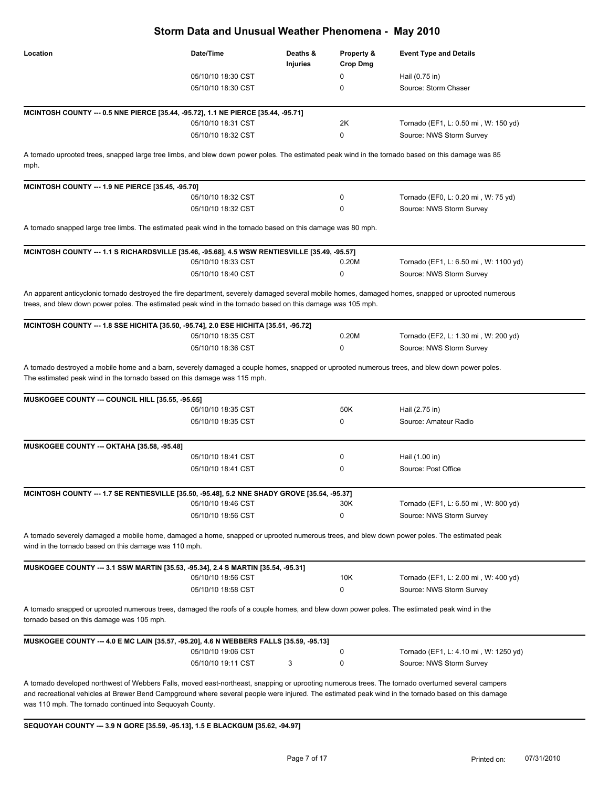| Storm Data and Unusual Weather Phenomena - May 2010      |                                                                                                                                                                                                                                                                                                          |                      |                               |                                                                                                                                                    |  |
|----------------------------------------------------------|----------------------------------------------------------------------------------------------------------------------------------------------------------------------------------------------------------------------------------------------------------------------------------------------------------|----------------------|-------------------------------|----------------------------------------------------------------------------------------------------------------------------------------------------|--|
| Location                                                 | Date/Time                                                                                                                                                                                                                                                                                                | Deaths &<br>Injuries | Property &<br><b>Crop Dmg</b> | <b>Event Type and Details</b>                                                                                                                      |  |
|                                                          | 05/10/10 18:30 CST                                                                                                                                                                                                                                                                                       |                      | 0                             | Hail (0.75 in)                                                                                                                                     |  |
|                                                          | 05/10/10 18:30 CST                                                                                                                                                                                                                                                                                       |                      | 0                             | Source: Storm Chaser                                                                                                                               |  |
|                                                          | MCINTOSH COUNTY --- 0.5 NNE PIERCE [35.44, -95.72], 1.1 NE PIERCE [35.44, -95.71]<br>05/10/10 18:31 CST                                                                                                                                                                                                  |                      | 2K                            | Tornado (EF1, L: 0.50 mi, W: 150 yd)                                                                                                               |  |
|                                                          | 05/10/10 18:32 CST                                                                                                                                                                                                                                                                                       |                      | 0                             | Source: NWS Storm Survey                                                                                                                           |  |
| mph.                                                     | A tornado uprooted trees, snapped large tree limbs, and blew down power poles. The estimated peak wind in the tornado based on this damage was 85                                                                                                                                                        |                      |                               |                                                                                                                                                    |  |
| MCINTOSH COUNTY --- 1.9 NE PIERCE [35.45, -95.70]        |                                                                                                                                                                                                                                                                                                          |                      |                               |                                                                                                                                                    |  |
|                                                          | 05/10/10 18:32 CST                                                                                                                                                                                                                                                                                       |                      | 0                             | Tornado (EF0, L: 0.20 mi, W: 75 yd)                                                                                                                |  |
|                                                          | 05/10/10 18:32 CST                                                                                                                                                                                                                                                                                       |                      | 0                             | Source: NWS Storm Survey                                                                                                                           |  |
|                                                          | A tornado snapped large tree limbs. The estimated peak wind in the tornado based on this damage was 80 mph.                                                                                                                                                                                              |                      |                               |                                                                                                                                                    |  |
|                                                          | MCINTOSH COUNTY --- 1.1 S RICHARDSVILLE [35.46, -95.68], 4.5 WSW RENTIESVILLE [35.49, -95.57]<br>05/10/10 18:33 CST                                                                                                                                                                                      |                      | 0.20M                         | Tornado (EF1, L: 6.50 mi, W: 1100 yd)                                                                                                              |  |
|                                                          | 05/10/10 18:40 CST                                                                                                                                                                                                                                                                                       |                      | 0                             | Source: NWS Storm Survey                                                                                                                           |  |
|                                                          | trees, and blew down power poles. The estimated peak wind in the tornado based on this damage was 105 mph.                                                                                                                                                                                               |                      |                               | An apparent anticyclonic tornado destroyed the fire department, severely damaged several mobile homes, damaged homes, snapped or uprooted numerous |  |
|                                                          | MCINTOSH COUNTY --- 1.8 SSE HICHITA [35.50, -95.74], 2.0 ESE HICHITA [35.51, -95.72]                                                                                                                                                                                                                     |                      |                               |                                                                                                                                                    |  |
|                                                          | 05/10/10 18:35 CST                                                                                                                                                                                                                                                                                       |                      | 0.20M                         | Tornado (EF2, L: 1.30 mi, W: 200 yd)                                                                                                               |  |
|                                                          | 05/10/10 18:36 CST                                                                                                                                                                                                                                                                                       |                      | 0                             | Source: NWS Storm Survey                                                                                                                           |  |
| <b>MUSKOGEE COUNTY --- COUNCIL HILL [35.55, -95.65]</b>  | 05/10/10 18:35 CST                                                                                                                                                                                                                                                                                       |                      | 50K                           | Hail (2.75 in)                                                                                                                                     |  |
|                                                          | 05/10/10 18:35 CST                                                                                                                                                                                                                                                                                       |                      | 0                             | Source: Amateur Radio                                                                                                                              |  |
| <b>MUSKOGEE COUNTY --- OKTAHA [35.58, -95.48]</b>        |                                                                                                                                                                                                                                                                                                          |                      |                               |                                                                                                                                                    |  |
|                                                          | 05/10/10 18:41 CST                                                                                                                                                                                                                                                                                       |                      | 0                             | Hail (1.00 in)                                                                                                                                     |  |
|                                                          | 05/10/10 18:41 CST                                                                                                                                                                                                                                                                                       |                      | 0                             | Source: Post Office                                                                                                                                |  |
|                                                          | MCINTOSH COUNTY --- 1.7 SE RENTIESVILLE [35.50, -95.48], 5.2 NNE SHADY GROVE [35.54, -95.37]                                                                                                                                                                                                             |                      |                               |                                                                                                                                                    |  |
|                                                          | 05/10/10 18:46 CST                                                                                                                                                                                                                                                                                       |                      | 30K                           | Tornado (EF1, L: 6.50 mi, W: 800 yd)                                                                                                               |  |
|                                                          | 05/10/10 18:56 CST                                                                                                                                                                                                                                                                                       |                      | 0                             | Source: NWS Storm Survey                                                                                                                           |  |
| wind in the tornado based on this damage was 110 mph.    | A tornado severely damaged a mobile home, damaged a home, snapped or uprooted numerous trees, and blew down power poles. The estimated peak                                                                                                                                                              |                      |                               |                                                                                                                                                    |  |
|                                                          | MUSKOGEE COUNTY --- 3.1 SSW MARTIN [35.53, -95.34], 2.4 S MARTIN [35.54, -95.31]                                                                                                                                                                                                                         |                      |                               |                                                                                                                                                    |  |
|                                                          | 05/10/10 18:56 CST                                                                                                                                                                                                                                                                                       |                      | 10K                           | Tornado (EF1, L: 2.00 mi, W: 400 yd)                                                                                                               |  |
|                                                          | 05/10/10 18:58 CST                                                                                                                                                                                                                                                                                       |                      | 0                             | Source: NWS Storm Survey                                                                                                                           |  |
| tornado based on this damage was 105 mph.                | A tornado snapped or uprooted numerous trees, damaged the roofs of a couple homes, and blew down power poles. The estimated peak wind in the                                                                                                                                                             |                      |                               |                                                                                                                                                    |  |
|                                                          | MUSKOGEE COUNTY --- 4.0 E MC LAIN [35.57, -95.20], 4.6 N WEBBERS FALLS [35.59, -95.13]                                                                                                                                                                                                                   |                      |                               |                                                                                                                                                    |  |
|                                                          | 05/10/10 19:06 CST                                                                                                                                                                                                                                                                                       |                      | 0                             | Tornado (EF1, L: 4.10 mi, W: 1250 yd)                                                                                                              |  |
|                                                          | 05/10/10 19:11 CST                                                                                                                                                                                                                                                                                       | 3                    | 0                             | Source: NWS Storm Survey                                                                                                                           |  |
| was 110 mph. The tornado continued into Sequoyah County. | A tornado developed northwest of Webbers Falls, moved east-northeast, snapping or uprooting numerous trees. The tornado overturned several campers<br>and recreational vehicles at Brewer Bend Campground where several people were injured. The estimated peak wind in the tornado based on this damage |                      |                               |                                                                                                                                                    |  |
|                                                          | SEQUOYAH COUNTY --- 3.9 N GORE [35.59, -95.13], 1.5 E BLACKGUM [35.62, -94.97]                                                                                                                                                                                                                           |                      |                               |                                                                                                                                                    |  |
|                                                          |                                                                                                                                                                                                                                                                                                          |                      |                               |                                                                                                                                                    |  |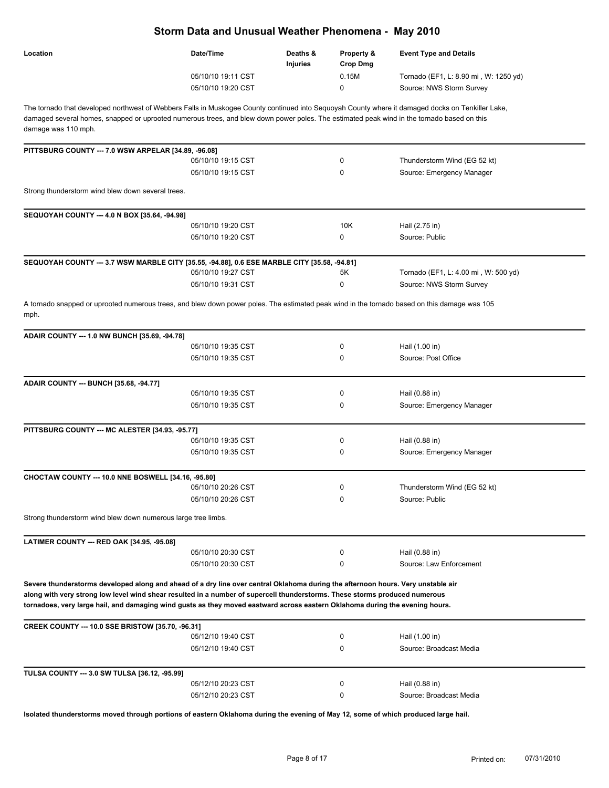| Location | Date/Time          | Deaths &<br><b>Injuries</b> | <b>Property &amp;</b><br>Crop Dma | <b>Event Type and Details</b>         |
|----------|--------------------|-----------------------------|-----------------------------------|---------------------------------------|
|          | 05/10/10 19:11 CST |                             | 0.15M                             | Tornado (EF1, L: 8.90 mi, W: 1250 yd) |
|          | 05/10/10 19:20 CST |                             |                                   | Source: NWS Storm Survey              |

The tornado that developed northwest of Webbers Falls in Muskogee County continued into Sequoyah County where it damaged docks on Tenkiller Lake, damaged several homes, snapped or uprooted numerous trees, and blew down power poles. The estimated peak wind in the tornado based on this damage was 110 mph.

| PITTSBURG COUNTY --- 7.0 WSW ARPELAR [34.89, -96.08]                                                                                                                                                                                                                                                                                                                                            |                    |              |                                      |
|-------------------------------------------------------------------------------------------------------------------------------------------------------------------------------------------------------------------------------------------------------------------------------------------------------------------------------------------------------------------------------------------------|--------------------|--------------|--------------------------------------|
|                                                                                                                                                                                                                                                                                                                                                                                                 | 05/10/10 19:15 CST | $\mathbf{0}$ | Thunderstorm Wind (EG 52 kt)         |
|                                                                                                                                                                                                                                                                                                                                                                                                 | 05/10/10 19:15 CST | $\Omega$     | Source: Emergency Manager            |
| Strong thunderstorm wind blew down several trees.                                                                                                                                                                                                                                                                                                                                               |                    |              |                                      |
| SEQUOYAH COUNTY --- 4.0 N BOX [35.64, -94.98]                                                                                                                                                                                                                                                                                                                                                   |                    |              |                                      |
|                                                                                                                                                                                                                                                                                                                                                                                                 | 05/10/10 19:20 CST | 10K          | Hail (2.75 in)                       |
|                                                                                                                                                                                                                                                                                                                                                                                                 | 05/10/10 19:20 CST | $\Omega$     | Source: Public                       |
| SEQUOYAH COUNTY --- 3.7 WSW MARBLE CITY [35.55, -94.88], 0.6 ESE MARBLE CITY [35.58, -94.81]                                                                                                                                                                                                                                                                                                    |                    |              |                                      |
|                                                                                                                                                                                                                                                                                                                                                                                                 | 05/10/10 19:27 CST | 5K           | Tornado (EF1, L: 4.00 mi, W: 500 yd) |
|                                                                                                                                                                                                                                                                                                                                                                                                 | 05/10/10 19:31 CST | $\mathbf 0$  | Source: NWS Storm Survey             |
| A tornado snapped or uprooted numerous trees, and blew down power poles. The estimated peak wind in the tornado based on this damage was 105<br>mph.                                                                                                                                                                                                                                            |                    |              |                                      |
| ADAIR COUNTY --- 1.0 NW BUNCH [35.69, -94.78]                                                                                                                                                                                                                                                                                                                                                   |                    |              |                                      |
|                                                                                                                                                                                                                                                                                                                                                                                                 | 05/10/10 19:35 CST | 0            | Hail (1.00 in)                       |
|                                                                                                                                                                                                                                                                                                                                                                                                 | 05/10/10 19:35 CST | 0            | Source: Post Office                  |
| ADAIR COUNTY --- BUNCH [35.68, -94.77]                                                                                                                                                                                                                                                                                                                                                          |                    |              |                                      |
|                                                                                                                                                                                                                                                                                                                                                                                                 | 05/10/10 19:35 CST | 0            | Hail (0.88 in)                       |
|                                                                                                                                                                                                                                                                                                                                                                                                 | 05/10/10 19:35 CST | 0            | Source: Emergency Manager            |
| PITTSBURG COUNTY --- MC ALESTER [34.93, -95.77]                                                                                                                                                                                                                                                                                                                                                 |                    |              |                                      |
|                                                                                                                                                                                                                                                                                                                                                                                                 | 05/10/10 19:35 CST | 0            | Hail (0.88 in)                       |
|                                                                                                                                                                                                                                                                                                                                                                                                 | 05/10/10 19:35 CST | 0            | Source: Emergency Manager            |
| CHOCTAW COUNTY --- 10.0 NNE BOSWELL [34.16, -95.80]                                                                                                                                                                                                                                                                                                                                             |                    |              |                                      |
|                                                                                                                                                                                                                                                                                                                                                                                                 | 05/10/10 20:26 CST | 0            | Thunderstorm Wind (EG 52 kt)         |
|                                                                                                                                                                                                                                                                                                                                                                                                 | 05/10/10 20:26 CST | $\Omega$     | Source: Public                       |
| Strong thunderstorm wind blew down numerous large tree limbs.                                                                                                                                                                                                                                                                                                                                   |                    |              |                                      |
| LATIMER COUNTY --- RED OAK [34.95, -95.08]                                                                                                                                                                                                                                                                                                                                                      |                    |              |                                      |
|                                                                                                                                                                                                                                                                                                                                                                                                 | 05/10/10 20:30 CST | 0            | Hail (0.88 in)                       |
|                                                                                                                                                                                                                                                                                                                                                                                                 | 05/10/10 20:30 CST | 0            | Source: Law Enforcement              |
| Severe thunderstorms developed along and ahead of a dry line over central Oklahoma during the afternoon hours. Very unstable air<br>along with very strong low level wind shear resulted in a number of supercell thunderstorms. These storms produced numerous<br>tornadoes, very large hail, and damaging wind gusts as they moved eastward across eastern Oklahoma during the evening hours. |                    |              |                                      |
| CREEK COUNTY --- 10.0 SSE BRISTOW [35.70, -96.31]                                                                                                                                                                                                                                                                                                                                               |                    |              |                                      |
|                                                                                                                                                                                                                                                                                                                                                                                                 | 05/12/10 19:40 CST | 0            | Hail (1.00 in)                       |
|                                                                                                                                                                                                                                                                                                                                                                                                 | 05/12/10 19:40 CST | 0            | Source: Broadcast Media              |
| TULSA COUNTY --- 3.0 SW TULSA [36.12, -95.99]                                                                                                                                                                                                                                                                                                                                                   |                    |              |                                      |
|                                                                                                                                                                                                                                                                                                                                                                                                 | 05/12/10 20:23 CST | 0            | Hail (0.88 in)                       |
|                                                                                                                                                                                                                                                                                                                                                                                                 | 05/12/10 20:23 CST | 0            | Source: Broadcast Media              |

**Isolated thunderstorms moved through portions of eastern Oklahoma during the evening of May 12, some of which produced large hail.**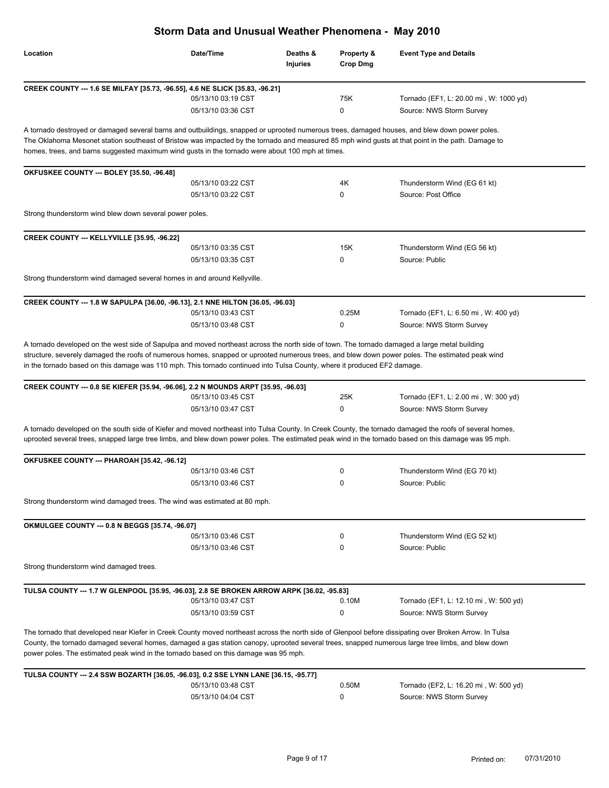| Storm Data and Unusual Weather Phenomena - May 2010                                                                                                                                                                                                                                                                                                                                                    |                                          |                      |                               |                                                                  |
|--------------------------------------------------------------------------------------------------------------------------------------------------------------------------------------------------------------------------------------------------------------------------------------------------------------------------------------------------------------------------------------------------------|------------------------------------------|----------------------|-------------------------------|------------------------------------------------------------------|
| Location                                                                                                                                                                                                                                                                                                                                                                                               | Date/Time                                | Deaths &<br>Injuries | Property &<br><b>Crop Dmg</b> | <b>Event Type and Details</b>                                    |
| CREEK COUNTY --- 1.6 SE MILFAY [35.73, -96.55], 4.6 NE SLICK [35.83, -96.21]                                                                                                                                                                                                                                                                                                                           |                                          |                      |                               |                                                                  |
|                                                                                                                                                                                                                                                                                                                                                                                                        | 05/13/10 03:19 CST                       |                      | 75K                           | Tornado (EF1, L: 20.00 mi, W: 1000 yd)                           |
|                                                                                                                                                                                                                                                                                                                                                                                                        | 05/13/10 03:36 CST                       |                      | 0                             | Source: NWS Storm Survey                                         |
| A tornado destroyed or damaged several barns and outbuildings, snapped or uprooted numerous trees, damaged houses, and blew down power poles.<br>The Oklahoma Mesonet station southeast of Bristow was impacted by the tornado and measured 85 mph wind gusts at that point in the path. Damage to<br>homes, trees, and barns suggested maximum wind gusts in the tornado were about 100 mph at times. |                                          |                      |                               |                                                                  |
| OKFUSKEE COUNTY --- BOLEY [35.50, -96.48]                                                                                                                                                                                                                                                                                                                                                              |                                          |                      |                               |                                                                  |
|                                                                                                                                                                                                                                                                                                                                                                                                        | 05/13/10 03:22 CST                       |                      | 4K                            | Thunderstorm Wind (EG 61 kt)                                     |
|                                                                                                                                                                                                                                                                                                                                                                                                        | 05/13/10 03:22 CST                       |                      | 0                             | Source: Post Office                                              |
| Strong thunderstorm wind blew down several power poles.                                                                                                                                                                                                                                                                                                                                                |                                          |                      |                               |                                                                  |
| CREEK COUNTY --- KELLYVILLE [35.95, -96.22]                                                                                                                                                                                                                                                                                                                                                            |                                          |                      |                               |                                                                  |
|                                                                                                                                                                                                                                                                                                                                                                                                        | 05/13/10 03:35 CST                       |                      | 15K                           | Thunderstorm Wind (EG 56 kt)                                     |
|                                                                                                                                                                                                                                                                                                                                                                                                        | 05/13/10 03:35 CST                       |                      | 0                             | Source: Public                                                   |
| Strong thunderstorm wind damaged several homes in and around Kellyville.                                                                                                                                                                                                                                                                                                                               |                                          |                      |                               |                                                                  |
| CREEK COUNTY --- 1.8 W SAPULPA [36.00, -96.13], 2.1 NNE HILTON [36.05, -96.03]                                                                                                                                                                                                                                                                                                                         |                                          |                      |                               |                                                                  |
|                                                                                                                                                                                                                                                                                                                                                                                                        | 05/13/10 03:43 CST                       |                      | 0.25M                         | Tornado (EF1, L: 6.50 mi, W: 400 yd)                             |
|                                                                                                                                                                                                                                                                                                                                                                                                        | 05/13/10 03:48 CST                       |                      | 0                             | Source: NWS Storm Survey                                         |
| CREEK COUNTY --- 0.8 SE KIEFER [35.94, -96.06], 2.2 N MOUNDS ARPT [35.95, -96.03]                                                                                                                                                                                                                                                                                                                      | 05/13/10 03:45 CST<br>05/13/10 03:47 CST |                      | 25K<br>0                      | Tornado (EF1, L: 2.00 mi, W: 300 yd)<br>Source: NWS Storm Survey |
| A tornado developed on the south side of Kiefer and moved northeast into Tulsa County. In Creek County, the tornado damaged the roofs of several homes,<br>uprooted several trees, snapped large tree limbs, and blew down power poles. The estimated peak wind in the tornado based on this damage was 95 mph.                                                                                        |                                          |                      |                               |                                                                  |
| OKFUSKEE COUNTY --- PHAROAH [35.42, -96.12]                                                                                                                                                                                                                                                                                                                                                            |                                          |                      |                               |                                                                  |
|                                                                                                                                                                                                                                                                                                                                                                                                        | 05/13/10 03:46 CST                       |                      |                               | Thunderstorm Wind (EG 70 kt)                                     |
|                                                                                                                                                                                                                                                                                                                                                                                                        | 05/13/10 03:46 CST                       |                      | 0                             | Source: Public                                                   |
| Strong thunderstorm wind damaged trees. The wind was estimated at 80 mph.                                                                                                                                                                                                                                                                                                                              |                                          |                      |                               |                                                                  |
| OKMULGEE COUNTY --- 0.8 N BEGGS [35.74, -96.07]                                                                                                                                                                                                                                                                                                                                                        |                                          |                      |                               |                                                                  |
|                                                                                                                                                                                                                                                                                                                                                                                                        | 05/13/10 03:46 CST                       |                      | 0                             | Thunderstorm Wind (EG 52 kt)                                     |
|                                                                                                                                                                                                                                                                                                                                                                                                        | 05/13/10 03:46 CST                       |                      | 0                             | Source: Public                                                   |
| Strong thunderstorm wind damaged trees.                                                                                                                                                                                                                                                                                                                                                                |                                          |                      |                               |                                                                  |
| TULSA COUNTY --- 1.7 W GLENPOOL [35.95, -96.03], 2.8 SE BROKEN ARROW ARPK [36.02, -95.83]                                                                                                                                                                                                                                                                                                              |                                          |                      |                               |                                                                  |
|                                                                                                                                                                                                                                                                                                                                                                                                        | 05/13/10 03:47 CST                       |                      | 0.10M                         | Tornado (EF1, L: 12.10 mi, W: 500 yd)                            |
|                                                                                                                                                                                                                                                                                                                                                                                                        | 05/13/10 03:59 CST                       |                      | 0                             | Source: NWS Storm Survey                                         |
| The tornado that developed near Kiefer in Creek County moved northeast across the north side of Glenpool before dissipating over Broken Arrow. In Tulsa<br>County, the tornado damaged several homes, damaged a gas station canopy, uprooted several trees, snapped numerous large tree limbs, and blew down<br>power poles. The estimated peak wind in the tornado based on this damage was 95 mph.   |                                          |                      |                               |                                                                  |
| TULSA COUNTY --- 2.4 SSW BOZARTH [36.05, -96.03], 0.2 SSE LYNN LANE [36.15, -95.77]                                                                                                                                                                                                                                                                                                                    |                                          |                      |                               |                                                                  |
|                                                                                                                                                                                                                                                                                                                                                                                                        | 05/13/10 03:48 CST                       |                      | 0.50M                         | Tornado (EF2, L: 16.20 mi, W: 500 yd)                            |
|                                                                                                                                                                                                                                                                                                                                                                                                        | 05/13/10 04:04 CST                       |                      | 0                             | Source: NWS Storm Survey                                         |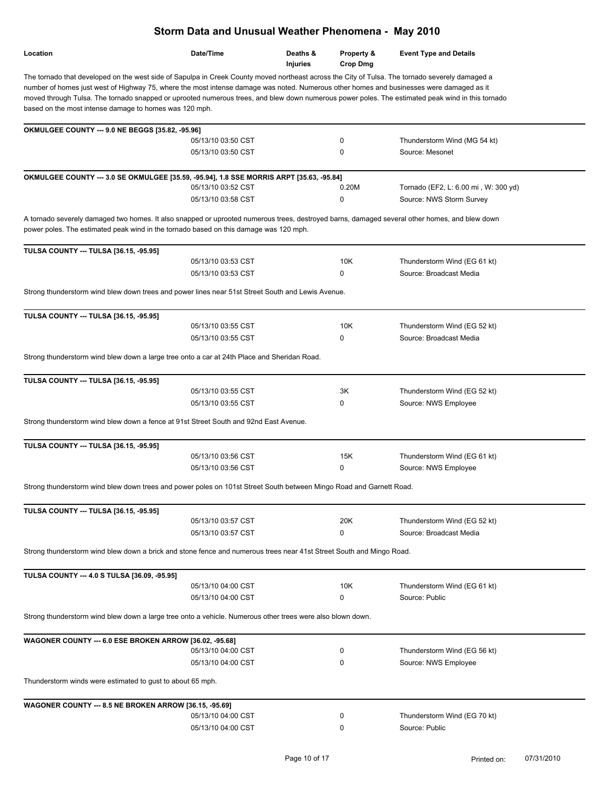|                                                                                                                                                                                                                                                                                                                                                                                                                                                                                                           | Storm Data and Unusual Weather Phenomena - May 2010 |                             |                               |                                                         |
|-----------------------------------------------------------------------------------------------------------------------------------------------------------------------------------------------------------------------------------------------------------------------------------------------------------------------------------------------------------------------------------------------------------------------------------------------------------------------------------------------------------|-----------------------------------------------------|-----------------------------|-------------------------------|---------------------------------------------------------|
| Location                                                                                                                                                                                                                                                                                                                                                                                                                                                                                                  | Date/Time                                           | Deaths &<br><b>Injuries</b> | Property &<br><b>Crop Dmg</b> | <b>Event Type and Details</b>                           |
| The tornado that developed on the west side of Sapulpa in Creek County moved northeast across the City of Tulsa. The tornado severely damaged a<br>number of homes just west of Highway 75, where the most intense damage was noted. Numerous other homes and businesses were damaged as it<br>moved through Tulsa. The tornado snapped or uprooted numerous trees, and blew down numerous power poles. The estimated peak wind in this tornado<br>based on the most intense damage to homes was 120 mph. |                                                     |                             |                               |                                                         |
| OKMULGEE COUNTY --- 9.0 NE BEGGS [35.82, -95.96]                                                                                                                                                                                                                                                                                                                                                                                                                                                          |                                                     |                             |                               |                                                         |
|                                                                                                                                                                                                                                                                                                                                                                                                                                                                                                           | 05/13/10 03:50 CST                                  |                             | 0                             | Thunderstorm Wind (MG 54 kt)                            |
|                                                                                                                                                                                                                                                                                                                                                                                                                                                                                                           | 05/13/10 03:50 CST                                  |                             | 0                             | Source: Mesonet                                         |
| OKMULGEE COUNTY --- 3.0 SE OKMULGEE [35.59, -95.94], 1.8 SSE MORRIS ARPT [35.63, -95.84]                                                                                                                                                                                                                                                                                                                                                                                                                  |                                                     |                             |                               |                                                         |
|                                                                                                                                                                                                                                                                                                                                                                                                                                                                                                           | 05/13/10 03:52 CST                                  |                             | 0.20M                         | Tornado (EF2, L: 6.00 mi, W: 300 yd)                    |
|                                                                                                                                                                                                                                                                                                                                                                                                                                                                                                           | 05/13/10 03:58 CST                                  |                             | 0                             | Source: NWS Storm Survey                                |
| A tornado severely damaged two homes. It also snapped or uprooted numerous trees, destroyed barns, damaged several other homes, and blew down<br>power poles. The estimated peak wind in the tornado based on this damage was 120 mph.                                                                                                                                                                                                                                                                    |                                                     |                             |                               |                                                         |
| <b>TULSA COUNTY --- TULSA [36.15, -95.95]</b>                                                                                                                                                                                                                                                                                                                                                                                                                                                             |                                                     |                             |                               |                                                         |
|                                                                                                                                                                                                                                                                                                                                                                                                                                                                                                           | 05/13/10 03:53 CST                                  |                             | 10K                           | Thunderstorm Wind (EG 61 kt)                            |
|                                                                                                                                                                                                                                                                                                                                                                                                                                                                                                           | 05/13/10 03:53 CST                                  |                             | $\Omega$                      | Source: Broadcast Media                                 |
| Strong thunderstorm wind blew down trees and power lines near 51st Street South and Lewis Avenue.                                                                                                                                                                                                                                                                                                                                                                                                         |                                                     |                             |                               |                                                         |
| TULSA COUNTY --- TULSA [36.15, -95.95]                                                                                                                                                                                                                                                                                                                                                                                                                                                                    |                                                     |                             |                               |                                                         |
|                                                                                                                                                                                                                                                                                                                                                                                                                                                                                                           | 05/13/10 03:55 CST                                  |                             | 10K                           | Thunderstorm Wind (EG 52 kt)                            |
|                                                                                                                                                                                                                                                                                                                                                                                                                                                                                                           | 05/13/10 03:55 CST                                  |                             | 0                             | Source: Broadcast Media                                 |
| Strong thunderstorm wind blew down a large tree onto a car at 24th Place and Sheridan Road.                                                                                                                                                                                                                                                                                                                                                                                                               |                                                     |                             |                               |                                                         |
| TULSA COUNTY --- TULSA [36.15, -95.95]                                                                                                                                                                                                                                                                                                                                                                                                                                                                    |                                                     |                             |                               |                                                         |
|                                                                                                                                                                                                                                                                                                                                                                                                                                                                                                           | 05/13/10 03:55 CST<br>05/13/10 03:55 CST            |                             | ЗK<br>0                       | Thunderstorm Wind (EG 52 kt)<br>Source: NWS Employee    |
|                                                                                                                                                                                                                                                                                                                                                                                                                                                                                                           |                                                     |                             |                               |                                                         |
| Strong thunderstorm wind blew down a fence at 91st Street South and 92nd East Avenue.                                                                                                                                                                                                                                                                                                                                                                                                                     |                                                     |                             |                               |                                                         |
| TULSA COUNTY --- TULSA [36.15, -95.95]                                                                                                                                                                                                                                                                                                                                                                                                                                                                    |                                                     |                             |                               |                                                         |
|                                                                                                                                                                                                                                                                                                                                                                                                                                                                                                           | 05/13/10 03:56 CST                                  |                             | 15K                           | Thunderstorm Wind (EG 61 kt)                            |
|                                                                                                                                                                                                                                                                                                                                                                                                                                                                                                           | 05/13/10 03:56 CST                                  |                             | 0                             | Source: NWS Employee                                    |
| Strong thunderstorm wind blew down trees and power poles on 101st Street South between Mingo Road and Garnett Road.                                                                                                                                                                                                                                                                                                                                                                                       |                                                     |                             |                               |                                                         |
| <b>TULSA COUNTY --- TULSA [36.15, -95.95]</b>                                                                                                                                                                                                                                                                                                                                                                                                                                                             |                                                     |                             |                               |                                                         |
|                                                                                                                                                                                                                                                                                                                                                                                                                                                                                                           | 05/13/10 03:57 CST<br>05/13/10 03:57 CST            |                             | 20K<br>0                      | Thunderstorm Wind (EG 52 kt)<br>Source: Broadcast Media |
|                                                                                                                                                                                                                                                                                                                                                                                                                                                                                                           |                                                     |                             |                               |                                                         |
| Strong thunderstorm wind blew down a brick and stone fence and numerous trees near 41st Street South and Mingo Road.                                                                                                                                                                                                                                                                                                                                                                                      |                                                     |                             |                               |                                                         |
| TULSA COUNTY --- 4.0 S TULSA [36.09, -95.95]                                                                                                                                                                                                                                                                                                                                                                                                                                                              |                                                     |                             |                               |                                                         |
|                                                                                                                                                                                                                                                                                                                                                                                                                                                                                                           | 05/13/10 04:00 CST                                  |                             | 10K                           | Thunderstorm Wind (EG 61 kt)                            |
|                                                                                                                                                                                                                                                                                                                                                                                                                                                                                                           | 05/13/10 04:00 CST                                  |                             | 0                             | Source: Public                                          |
| Strong thunderstorm wind blew down a large tree onto a vehicle. Numerous other trees were also blown down.                                                                                                                                                                                                                                                                                                                                                                                                |                                                     |                             |                               |                                                         |
| WAGONER COUNTY --- 6.0 ESE BROKEN ARROW [36.02, -95.68]                                                                                                                                                                                                                                                                                                                                                                                                                                                   |                                                     |                             |                               |                                                         |
|                                                                                                                                                                                                                                                                                                                                                                                                                                                                                                           | 05/13/10 04:00 CST                                  |                             | 0                             | Thunderstorm Wind (EG 56 kt)                            |
|                                                                                                                                                                                                                                                                                                                                                                                                                                                                                                           | 05/13/10 04:00 CST                                  |                             | 0                             | Source: NWS Employee                                    |
| Thunderstorm winds were estimated to gust to about 65 mph.                                                                                                                                                                                                                                                                                                                                                                                                                                                |                                                     |                             |                               |                                                         |
| WAGONER COUNTY --- 8.5 NE BROKEN ARROW [36.15, -95.69]                                                                                                                                                                                                                                                                                                                                                                                                                                                    |                                                     |                             |                               |                                                         |
|                                                                                                                                                                                                                                                                                                                                                                                                                                                                                                           | 05/13/10 04:00 CST                                  |                             | 0                             | Thunderstorm Wind (EG 70 kt)                            |
|                                                                                                                                                                                                                                                                                                                                                                                                                                                                                                           | 05/13/10 04:00 CST                                  |                             | 0                             | Source: Public                                          |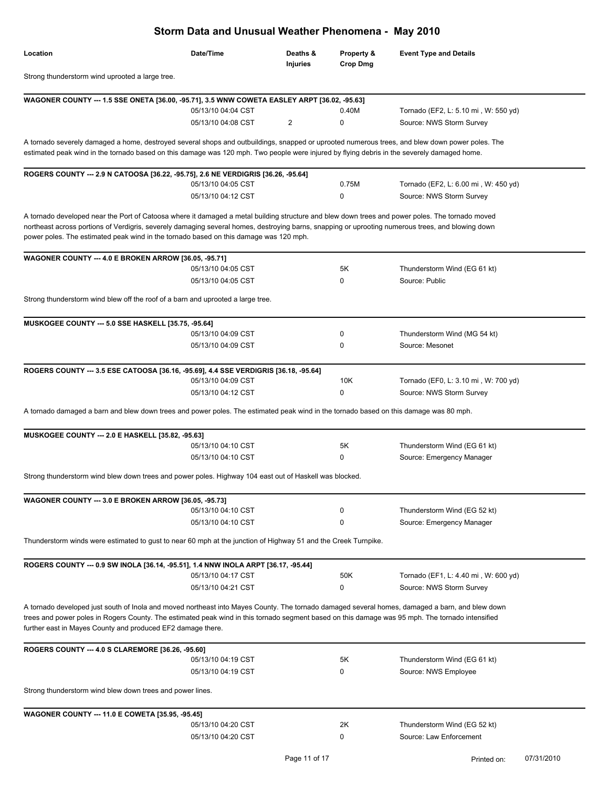|                                                                                                                                                                                                                                                                                                                                                                                               | Storm Data and Unusual Weather Phenomena - May 2010 |                      |                               |                                      |
|-----------------------------------------------------------------------------------------------------------------------------------------------------------------------------------------------------------------------------------------------------------------------------------------------------------------------------------------------------------------------------------------------|-----------------------------------------------------|----------------------|-------------------------------|--------------------------------------|
| Location                                                                                                                                                                                                                                                                                                                                                                                      | Date/Time                                           | Deaths &<br>Injuries | Property &<br><b>Crop Dmg</b> | <b>Event Type and Details</b>        |
| Strong thunderstorm wind uprooted a large tree.                                                                                                                                                                                                                                                                                                                                               |                                                     |                      |                               |                                      |
|                                                                                                                                                                                                                                                                                                                                                                                               |                                                     |                      |                               |                                      |
| WAGONER COUNTY --- 1.5 SSE ONETA [36.00, -95.71], 3.5 WNW COWETA EASLEY ARPT [36.02, -95.63]                                                                                                                                                                                                                                                                                                  | 05/13/10 04:04 CST                                  |                      | 0.40M                         | Tornado (EF2, L: 5.10 mi, W: 550 yd) |
|                                                                                                                                                                                                                                                                                                                                                                                               | 05/13/10 04:08 CST                                  | 2                    | 0                             | Source: NWS Storm Survey             |
|                                                                                                                                                                                                                                                                                                                                                                                               |                                                     |                      |                               |                                      |
| A tornado severely damaged a home, destroyed several shops and outbuildings, snapped or uprooted numerous trees, and blew down power poles. The<br>estimated peak wind in the tornado based on this damage was 120 mph. Two people were injured by flying debris in the severely damaged home.                                                                                                |                                                     |                      |                               |                                      |
| ROGERS COUNTY --- 2.9 N CATOOSA [36.22, -95.75], 2.6 NE VERDIGRIS [36.26, -95.64]                                                                                                                                                                                                                                                                                                             |                                                     |                      |                               |                                      |
|                                                                                                                                                                                                                                                                                                                                                                                               | 05/13/10 04:05 CST                                  |                      | 0.75M                         | Tornado (EF2, L: 6.00 mi, W: 450 yd) |
|                                                                                                                                                                                                                                                                                                                                                                                               | 05/13/10 04:12 CST                                  |                      | 0                             | Source: NWS Storm Survey             |
| A tornado developed near the Port of Catoosa where it damaged a metal building structure and blew down trees and power poles. The tornado moved<br>northeast across portions of Verdigris, severely damaging several homes, destroying barns, snapping or uprooting numerous trees, and blowing down<br>power poles. The estimated peak wind in the tornado based on this damage was 120 mph. |                                                     |                      |                               |                                      |
| WAGONER COUNTY --- 4.0 E BROKEN ARROW [36.05, -95.71]                                                                                                                                                                                                                                                                                                                                         |                                                     |                      |                               |                                      |
|                                                                                                                                                                                                                                                                                                                                                                                               | 05/13/10 04:05 CST                                  |                      | 5K                            | Thunderstorm Wind (EG 61 kt)         |
|                                                                                                                                                                                                                                                                                                                                                                                               | 05/13/10 04:05 CST                                  |                      | 0                             | Source: Public                       |
| Strong thunderstorm wind blew off the roof of a barn and uprooted a large tree.                                                                                                                                                                                                                                                                                                               |                                                     |                      |                               |                                      |
| MUSKOGEE COUNTY --- 5.0 SSE HASKELL [35.75, -95.64]                                                                                                                                                                                                                                                                                                                                           |                                                     |                      |                               |                                      |
|                                                                                                                                                                                                                                                                                                                                                                                               | 05/13/10 04:09 CST                                  |                      | 0                             | Thunderstorm Wind (MG 54 kt)         |
|                                                                                                                                                                                                                                                                                                                                                                                               | 05/13/10 04:09 CST                                  |                      | 0                             | Source: Mesonet                      |
|                                                                                                                                                                                                                                                                                                                                                                                               |                                                     |                      |                               |                                      |
| ROGERS COUNTY --- 3.5 ESE CATOOSA [36.16, -95.69], 4.4 SSE VERDIGRIS [36.18, -95.64]                                                                                                                                                                                                                                                                                                          |                                                     |                      |                               |                                      |
|                                                                                                                                                                                                                                                                                                                                                                                               | 05/13/10 04:09 CST                                  |                      | 10K                           | Tornado (EF0, L: 3.10 mi, W: 700 yd) |
|                                                                                                                                                                                                                                                                                                                                                                                               | 05/13/10 04:12 CST                                  |                      | 0                             | Source: NWS Storm Survey             |
| A tornado damaged a barn and blew down trees and power poles. The estimated peak wind in the tornado based on this damage was 80 mph.                                                                                                                                                                                                                                                         |                                                     |                      |                               |                                      |
| MUSKOGEE COUNTY --- 2.0 E HASKELL [35.82, -95.63]                                                                                                                                                                                                                                                                                                                                             |                                                     |                      |                               |                                      |
|                                                                                                                                                                                                                                                                                                                                                                                               | 05/13/10 04:10 CST                                  |                      | 5K                            | Thunderstorm Wind (EG 61 kt)         |
|                                                                                                                                                                                                                                                                                                                                                                                               | 05/13/10 04:10 CST                                  |                      | 0                             | Source: Emergency Manager            |
| Strong thunderstorm wind blew down trees and power poles. Highway 104 east out of Haskell was blocked.                                                                                                                                                                                                                                                                                        |                                                     |                      |                               |                                      |
| <b>WAGONER COUNTY --- 3.0 E BROKEN ARROW [36.05, -95.73]</b>                                                                                                                                                                                                                                                                                                                                  |                                                     |                      |                               |                                      |
|                                                                                                                                                                                                                                                                                                                                                                                               | 05/13/10 04:10 CST                                  |                      | 0                             | Thunderstorm Wind (EG 52 kt)         |
|                                                                                                                                                                                                                                                                                                                                                                                               | 05/13/10 04:10 CST                                  |                      | 0                             | Source: Emergency Manager            |
| Thunderstorm winds were estimated to gust to near 60 mph at the junction of Highway 51 and the Creek Turnpike.                                                                                                                                                                                                                                                                                |                                                     |                      |                               |                                      |
| ROGERS COUNTY --- 0.9 SW INOLA [36.14, -95.51], 1.4 NNW INOLA ARPT [36.17, -95.44]                                                                                                                                                                                                                                                                                                            |                                                     |                      |                               |                                      |
|                                                                                                                                                                                                                                                                                                                                                                                               | 05/13/10 04:17 CST                                  |                      | 50K                           | Tornado (EF1, L: 4.40 mi, W: 600 yd) |
|                                                                                                                                                                                                                                                                                                                                                                                               | 05/13/10 04:21 CST                                  |                      | 0                             | Source: NWS Storm Survey             |
| A tornado developed just south of Inola and moved northeast into Mayes County. The tornado damaged several homes, damaged a barn, and blew down<br>trees and power poles in Rogers County. The estimated peak wind in this tornado segment based on this damage was 95 mph. The tornado intensified<br>further east in Mayes County and produced EF2 damage there.                            |                                                     |                      |                               |                                      |
| ROGERS COUNTY --- 4.0 S CLAREMORE [36.26, -95.60]                                                                                                                                                                                                                                                                                                                                             |                                                     |                      |                               |                                      |
|                                                                                                                                                                                                                                                                                                                                                                                               | 05/13/10 04:19 CST                                  |                      | 5K                            | Thunderstorm Wind (EG 61 kt)         |
|                                                                                                                                                                                                                                                                                                                                                                                               | 05/13/10 04:19 CST                                  |                      | 0                             | Source: NWS Employee                 |
| Strong thunderstorm wind blew down trees and power lines.                                                                                                                                                                                                                                                                                                                                     |                                                     |                      |                               |                                      |
| <b>WAGONER COUNTY --- 11.0 E COWETA [35.95, -95.45]</b>                                                                                                                                                                                                                                                                                                                                       |                                                     |                      |                               |                                      |
|                                                                                                                                                                                                                                                                                                                                                                                               | 05/13/10 04:20 CST                                  |                      | 2K                            | Thunderstorm Wind (EG 52 kt)         |
|                                                                                                                                                                                                                                                                                                                                                                                               | 05/13/10 04:20 CST                                  |                      | 0                             | Source: Law Enforcement              |
|                                                                                                                                                                                                                                                                                                                                                                                               |                                                     |                      |                               |                                      |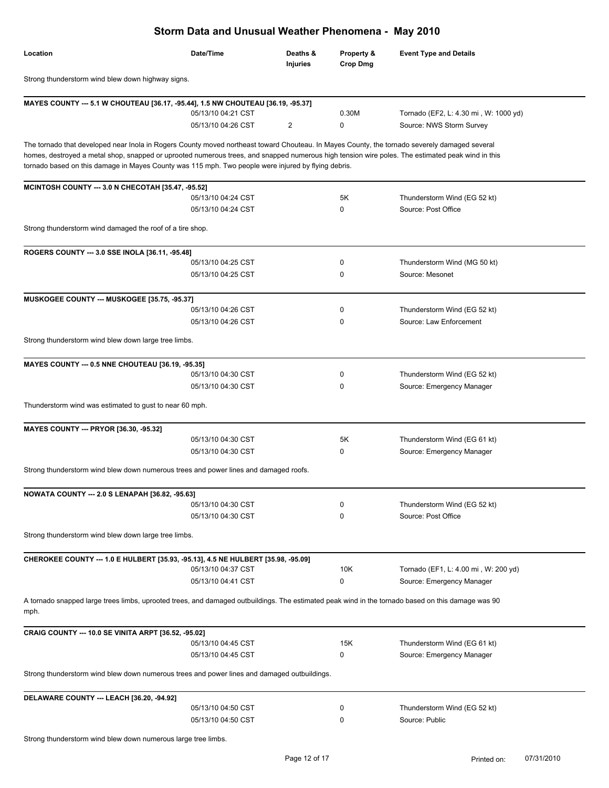| Storm Data and Unusual Weather Phenomena - May 2010                                                                                                                                                                                                                                                                                                                                                      |                    |                             |                        |                                       |  |
|----------------------------------------------------------------------------------------------------------------------------------------------------------------------------------------------------------------------------------------------------------------------------------------------------------------------------------------------------------------------------------------------------------|--------------------|-----------------------------|------------------------|---------------------------------------|--|
| Location                                                                                                                                                                                                                                                                                                                                                                                                 | Date/Time          | Deaths &<br><b>Injuries</b> | Property &<br>Crop Dmg | <b>Event Type and Details</b>         |  |
| Strong thunderstorm wind blew down highway signs.                                                                                                                                                                                                                                                                                                                                                        |                    |                             |                        |                                       |  |
| MAYES COUNTY --- 5.1 W CHOUTEAU [36.17, -95.44], 1.5 NW CHOUTEAU [36.19, -95.37]                                                                                                                                                                                                                                                                                                                         |                    |                             |                        |                                       |  |
|                                                                                                                                                                                                                                                                                                                                                                                                          | 05/13/10 04:21 CST |                             | 0.30M                  | Tornado (EF2, L: 4.30 mi, W: 1000 yd) |  |
|                                                                                                                                                                                                                                                                                                                                                                                                          | 05/13/10 04:26 CST | $\overline{2}$              | 0                      | Source: NWS Storm Survey              |  |
| The tornado that developed near Inola in Rogers County moved northeast toward Chouteau. In Mayes County, the tornado severely damaged several<br>homes, destroyed a metal shop, snapped or uprooted numerous trees, and snapped numerous high tension wire poles. The estimated peak wind in this<br>tornado based on this damage in Mayes County was 115 mph. Two people were injured by flying debris. |                    |                             |                        |                                       |  |
| MCINTOSH COUNTY --- 3.0 N CHECOTAH [35.47, -95.52]                                                                                                                                                                                                                                                                                                                                                       |                    |                             |                        |                                       |  |
|                                                                                                                                                                                                                                                                                                                                                                                                          | 05/13/10 04:24 CST |                             | 5K                     | Thunderstorm Wind (EG 52 kt)          |  |
|                                                                                                                                                                                                                                                                                                                                                                                                          | 05/13/10 04:24 CST |                             | 0                      | Source: Post Office                   |  |
| Strong thunderstorm wind damaged the roof of a tire shop.                                                                                                                                                                                                                                                                                                                                                |                    |                             |                        |                                       |  |
| ROGERS COUNTY --- 3.0 SSE INOLA [36.11, -95.48]                                                                                                                                                                                                                                                                                                                                                          |                    |                             |                        |                                       |  |
|                                                                                                                                                                                                                                                                                                                                                                                                          | 05/13/10 04:25 CST |                             | 0                      | Thunderstorm Wind (MG 50 kt)          |  |
|                                                                                                                                                                                                                                                                                                                                                                                                          | 05/13/10 04:25 CST |                             | 0                      | Source: Mesonet                       |  |
| MUSKOGEE COUNTY --- MUSKOGEE [35.75, -95.37]                                                                                                                                                                                                                                                                                                                                                             |                    |                             |                        |                                       |  |
|                                                                                                                                                                                                                                                                                                                                                                                                          | 05/13/10 04:26 CST |                             | 0                      | Thunderstorm Wind (EG 52 kt)          |  |
|                                                                                                                                                                                                                                                                                                                                                                                                          | 05/13/10 04:26 CST |                             | 0                      | Source: Law Enforcement               |  |
| Strong thunderstorm wind blew down large tree limbs.                                                                                                                                                                                                                                                                                                                                                     |                    |                             |                        |                                       |  |
| MAYES COUNTY --- 0.5 NNE CHOUTEAU [36.19, -95.35]                                                                                                                                                                                                                                                                                                                                                        |                    |                             |                        |                                       |  |
|                                                                                                                                                                                                                                                                                                                                                                                                          | 05/13/10 04:30 CST |                             | 0                      | Thunderstorm Wind (EG 52 kt)          |  |
|                                                                                                                                                                                                                                                                                                                                                                                                          | 05/13/10 04:30 CST |                             | 0                      | Source: Emergency Manager             |  |
| Thunderstorm wind was estimated to gust to near 60 mph.                                                                                                                                                                                                                                                                                                                                                  |                    |                             |                        |                                       |  |
| MAYES COUNTY --- PRYOR [36.30, -95.32]                                                                                                                                                                                                                                                                                                                                                                   |                    |                             |                        |                                       |  |
|                                                                                                                                                                                                                                                                                                                                                                                                          | 05/13/10 04:30 CST |                             | 5K                     | Thunderstorm Wind (EG 61 kt)          |  |
|                                                                                                                                                                                                                                                                                                                                                                                                          | 05/13/10 04:30 CST |                             | 0                      | Source: Emergency Manager             |  |
| Strong thunderstorm wind blew down numerous trees and power lines and damaged roofs.                                                                                                                                                                                                                                                                                                                     |                    |                             |                        |                                       |  |
| <b>NOWATA COUNTY --- 2.0 S LENAPAH [36.82, -95.63]</b>                                                                                                                                                                                                                                                                                                                                                   |                    |                             |                        |                                       |  |
|                                                                                                                                                                                                                                                                                                                                                                                                          | 05/13/10 04:30 CST |                             | 0                      | Thunderstorm Wind (EG 52 kt)          |  |
|                                                                                                                                                                                                                                                                                                                                                                                                          | 05/13/10 04:30 CST |                             | $\Omega$               | Source: Post Office                   |  |
| Strong thunderstorm wind blew down large tree limbs.                                                                                                                                                                                                                                                                                                                                                     |                    |                             |                        |                                       |  |
| CHEROKEE COUNTY --- 1.0 E HULBERT [35.93, -95.13], 4.5 NE HULBERT [35.98, -95.09]                                                                                                                                                                                                                                                                                                                        |                    |                             |                        |                                       |  |
|                                                                                                                                                                                                                                                                                                                                                                                                          | 05/13/10 04:37 CST |                             | 10K                    | Tornado (EF1, L: 4.00 mi, W: 200 yd)  |  |
|                                                                                                                                                                                                                                                                                                                                                                                                          | 05/13/10 04:41 CST |                             | 0                      | Source: Emergency Manager             |  |
| A tornado snapped large trees limbs, uprooted trees, and damaged outbuildings. The estimated peak wind in the tornado based on this damage was 90<br>mph.                                                                                                                                                                                                                                                |                    |                             |                        |                                       |  |
| CRAIG COUNTY --- 10.0 SE VINITA ARPT [36.52, -95.02]                                                                                                                                                                                                                                                                                                                                                     |                    |                             |                        |                                       |  |
|                                                                                                                                                                                                                                                                                                                                                                                                          | 05/13/10 04:45 CST |                             | 15K                    | Thunderstorm Wind (EG 61 kt)          |  |
|                                                                                                                                                                                                                                                                                                                                                                                                          | 05/13/10 04:45 CST |                             | 0                      | Source: Emergency Manager             |  |
| Strong thunderstorm wind blew down numerous trees and power lines and damaged outbuildings.                                                                                                                                                                                                                                                                                                              |                    |                             |                        |                                       |  |
| DELAWARE COUNTY --- LEACH [36.20, -94.92]                                                                                                                                                                                                                                                                                                                                                                |                    |                             |                        |                                       |  |
|                                                                                                                                                                                                                                                                                                                                                                                                          | 05/13/10 04:50 CST |                             | 0                      | Thunderstorm Wind (EG 52 kt)          |  |
|                                                                                                                                                                                                                                                                                                                                                                                                          | 05/13/10 04:50 CST |                             | 0                      | Source: Public                        |  |
| Strong thunderstorm wind blew down numerous large tree limbs.                                                                                                                                                                                                                                                                                                                                            |                    |                             |                        |                                       |  |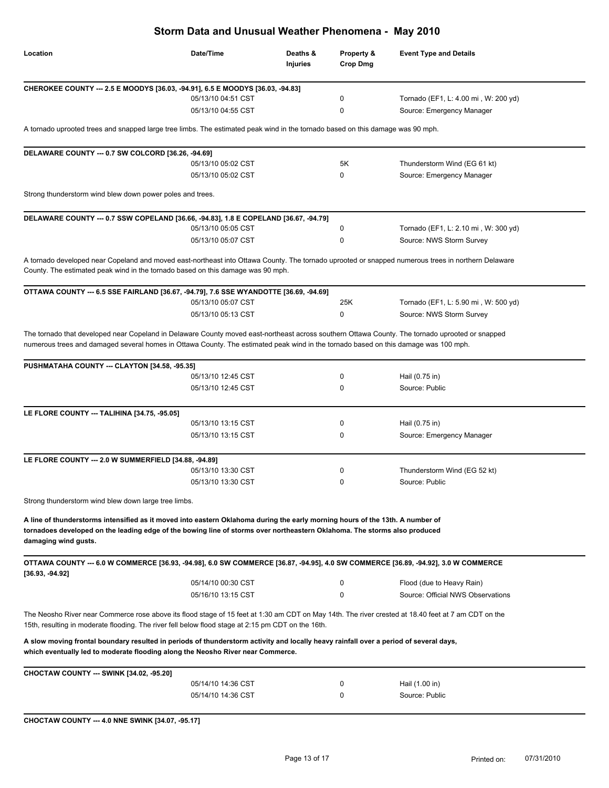| Storm Data and Unusual Weather Phenomena - May 2010                                                                                                                                                                                                                                                                                     |                    |                      |                               |                                                                                                                                                    |  |
|-----------------------------------------------------------------------------------------------------------------------------------------------------------------------------------------------------------------------------------------------------------------------------------------------------------------------------------------|--------------------|----------------------|-------------------------------|----------------------------------------------------------------------------------------------------------------------------------------------------|--|
| Location                                                                                                                                                                                                                                                                                                                                | Date/Time          | Deaths &<br>Injuries | Property &<br><b>Crop Dmg</b> | <b>Event Type and Details</b>                                                                                                                      |  |
| CHEROKEE COUNTY --- 2.5 E MOODYS [36.03, -94.91], 6.5 E MOODYS [36.03, -94.83]                                                                                                                                                                                                                                                          |                    |                      |                               |                                                                                                                                                    |  |
|                                                                                                                                                                                                                                                                                                                                         | 05/13/10 04:51 CST |                      | 0                             | Tornado (EF1, L: 4.00 mi, W: 200 yd)                                                                                                               |  |
|                                                                                                                                                                                                                                                                                                                                         | 05/13/10 04:55 CST |                      | 0                             | Source: Emergency Manager                                                                                                                          |  |
| A tornado uprooted trees and snapped large tree limbs. The estimated peak wind in the tornado based on this damage was 90 mph.                                                                                                                                                                                                          |                    |                      |                               |                                                                                                                                                    |  |
| DELAWARE COUNTY --- 0.7 SW COLCORD [36.26, -94.69]                                                                                                                                                                                                                                                                                      |                    |                      |                               |                                                                                                                                                    |  |
|                                                                                                                                                                                                                                                                                                                                         | 05/13/10 05:02 CST |                      | 5Κ                            | Thunderstorm Wind (EG 61 kt)                                                                                                                       |  |
|                                                                                                                                                                                                                                                                                                                                         | 05/13/10 05:02 CST |                      | 0                             | Source: Emergency Manager                                                                                                                          |  |
| Strong thunderstorm wind blew down power poles and trees.                                                                                                                                                                                                                                                                               |                    |                      |                               |                                                                                                                                                    |  |
| DELAWARE COUNTY --- 0.7 SSW COPELAND [36.66, -94.83], 1.8 E COPELAND [36.67, -94.79]                                                                                                                                                                                                                                                    |                    |                      |                               |                                                                                                                                                    |  |
|                                                                                                                                                                                                                                                                                                                                         | 05/13/10 05:05 CST |                      | 0                             | Tornado (EF1, L: 2.10 mi, W: 300 yd)                                                                                                               |  |
|                                                                                                                                                                                                                                                                                                                                         | 05/13/10 05:07 CST |                      | 0                             | Source: NWS Storm Survey                                                                                                                           |  |
| County. The estimated peak wind in the tornado based on this damage was 90 mph.                                                                                                                                                                                                                                                         |                    |                      |                               | A tornado developed near Copeland and moved east-northeast into Ottawa County. The tornado uprooted or snapped numerous trees in northern Delaware |  |
| OTTAWA COUNTY --- 6.5 SSE FAIRLAND [36.67, -94.79], 7.6 SSE WYANDOTTE [36.69, -94.69]                                                                                                                                                                                                                                                   |                    |                      |                               |                                                                                                                                                    |  |
|                                                                                                                                                                                                                                                                                                                                         | 05/13/10 05:07 CST |                      | 25K                           | Tornado (EF1, L: 5.90 mi, W: 500 yd)                                                                                                               |  |
|                                                                                                                                                                                                                                                                                                                                         | 05/13/10 05:13 CST |                      | 0                             | Source: NWS Storm Survey                                                                                                                           |  |
| The tornado that developed near Copeland in Delaware County moved east-northeast across southern Ottawa County. The tornado uprooted or snapped<br>numerous trees and damaged several homes in Ottawa County. The estimated peak wind in the tornado based on this damage was 100 mph.<br>PUSHMATAHA COUNTY --- CLAYTON [34.58, -95.35] |                    |                      |                               |                                                                                                                                                    |  |
|                                                                                                                                                                                                                                                                                                                                         | 05/13/10 12:45 CST |                      | 0                             | Hail (0.75 in)                                                                                                                                     |  |
|                                                                                                                                                                                                                                                                                                                                         | 05/13/10 12:45 CST |                      | 0                             | Source: Public                                                                                                                                     |  |
| LE FLORE COUNTY --- TALIHINA [34.75, -95.05]                                                                                                                                                                                                                                                                                            |                    |                      |                               |                                                                                                                                                    |  |
|                                                                                                                                                                                                                                                                                                                                         | 05/13/10 13:15 CST |                      | 0                             | Hail (0.75 in)                                                                                                                                     |  |
|                                                                                                                                                                                                                                                                                                                                         | 05/13/10 13:15 CST |                      | 0                             | Source: Emergency Manager                                                                                                                          |  |
| LE FLORE COUNTY --- 2.0 W SUMMERFIELD [34.88, -94.89]                                                                                                                                                                                                                                                                                   |                    |                      |                               |                                                                                                                                                    |  |
|                                                                                                                                                                                                                                                                                                                                         | 05/13/10 13:30 CST |                      |                               | Thunderstorm Wind (EG 52 kt)                                                                                                                       |  |
|                                                                                                                                                                                                                                                                                                                                         | 05/13/10 13:30 CST |                      | 0                             | Source: Public                                                                                                                                     |  |
| Strong thunderstorm wind blew down large tree limbs.                                                                                                                                                                                                                                                                                    |                    |                      |                               |                                                                                                                                                    |  |
| A line of thunderstorms intensified as it moved into eastern Oklahoma during the early morning hours of the 13th. A number of<br>tornadoes developed on the leading edge of the bowing line of storms over northeastern Oklahoma. The storms also produced<br>damaging wind gusts.                                                      |                    |                      |                               |                                                                                                                                                    |  |
| OTTAWA COUNTY --- 6.0 W COMMERCE [36.93, -94.98], 6.0 SW COMMERCE [36.87, -94.95], 4.0 SW COMMERCE [36.89, -94.92], 3.0 W COMMERCE<br>$[36.93, -94.92]$                                                                                                                                                                                 |                    |                      |                               |                                                                                                                                                    |  |
|                                                                                                                                                                                                                                                                                                                                         | 05/14/10 00:30 CST |                      | 0                             | Flood (due to Heavy Rain)                                                                                                                          |  |
|                                                                                                                                                                                                                                                                                                                                         | 05/16/10 13:15 CST |                      | 0                             | Source: Official NWS Observations                                                                                                                  |  |
| The Neosho River near Commerce rose above its flood stage of 15 feet at 1:30 am CDT on May 14th. The river crested at 18.40 feet at 7 am CDT on the<br>15th, resulting in moderate flooding. The river fell below flood stage at 2:15 pm CDT on the 16th.                                                                               |                    |                      |                               |                                                                                                                                                    |  |
| A slow moving frontal boundary resulted in periods of thunderstorm activity and locally heavy rainfall over a period of several days,<br>which eventually led to moderate flooding along the Neosho River near Commerce.                                                                                                                |                    |                      |                               |                                                                                                                                                    |  |
| CHOCTAW COUNTY --- SWINK [34.02, -95.20]                                                                                                                                                                                                                                                                                                |                    |                      |                               |                                                                                                                                                    |  |
|                                                                                                                                                                                                                                                                                                                                         | 05/14/10 14:36 CST |                      | 0                             | Hail (1.00 in)                                                                                                                                     |  |
|                                                                                                                                                                                                                                                                                                                                         | 05/14/10 14:36 CST |                      | 0                             | Source: Public                                                                                                                                     |  |
| CHOCTAW COUNTY --- 4.0 NNE SWINK [34.07, -95.17]                                                                                                                                                                                                                                                                                        |                    |                      |                               |                                                                                                                                                    |  |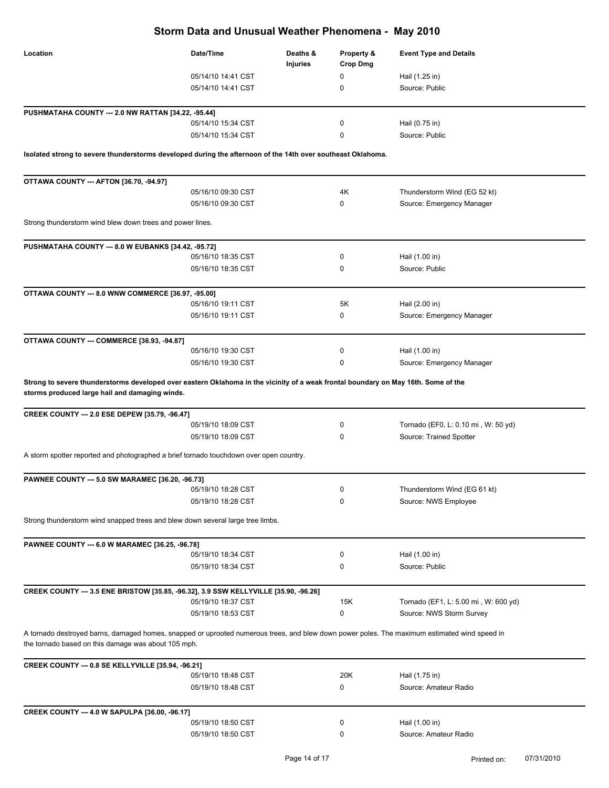| Storm Data and Unusual Weather Phenomena - May 2010                                                                                                                                                 |                    |                      |                               |                                      |
|-----------------------------------------------------------------------------------------------------------------------------------------------------------------------------------------------------|--------------------|----------------------|-------------------------------|--------------------------------------|
| Location                                                                                                                                                                                            | Date/Time          | Deaths &<br>Injuries | Property &<br><b>Crop Dmg</b> | <b>Event Type and Details</b>        |
|                                                                                                                                                                                                     | 05/14/10 14:41 CST |                      | 0                             | Hail (1.25 in)                       |
|                                                                                                                                                                                                     | 05/14/10 14:41 CST |                      | 0                             | Source: Public                       |
|                                                                                                                                                                                                     |                    |                      |                               |                                      |
| PUSHMATAHA COUNTY --- 2.0 NW RATTAN [34.22, -95.44]                                                                                                                                                 | 05/14/10 15:34 CST |                      | 0                             | Hail (0.75 in)                       |
|                                                                                                                                                                                                     | 05/14/10 15:34 CST |                      | 0                             | Source: Public                       |
|                                                                                                                                                                                                     |                    |                      |                               |                                      |
| Isolated strong to severe thunderstorms developed during the afternoon of the 14th over southeast Oklahoma.                                                                                         |                    |                      |                               |                                      |
|                                                                                                                                                                                                     |                    |                      |                               |                                      |
| OTTAWA COUNTY --- AFTON [36.70, -94.97]                                                                                                                                                             |                    |                      |                               |                                      |
|                                                                                                                                                                                                     | 05/16/10 09:30 CST |                      | 4K                            | Thunderstorm Wind (EG 52 kt)         |
|                                                                                                                                                                                                     | 05/16/10 09:30 CST |                      | 0                             | Source: Emergency Manager            |
| Strong thunderstorm wind blew down trees and power lines.                                                                                                                                           |                    |                      |                               |                                      |
|                                                                                                                                                                                                     |                    |                      |                               |                                      |
| PUSHMATAHA COUNTY --- 8.0 W EUBANKS [34.42, -95.72]                                                                                                                                                 |                    |                      | 0                             |                                      |
|                                                                                                                                                                                                     | 05/16/10 18:35 CST |                      |                               | Hail (1.00 in)                       |
|                                                                                                                                                                                                     | 05/16/10 18:35 CST |                      | 0                             | Source: Public                       |
| OTTAWA COUNTY --- 8.0 WNW COMMERCE [36.97, -95.00]                                                                                                                                                  |                    |                      |                               |                                      |
|                                                                                                                                                                                                     | 05/16/10 19:11 CST |                      | 5K                            | Hail (2.00 in)                       |
|                                                                                                                                                                                                     | 05/16/10 19:11 CST |                      | 0                             | Source: Emergency Manager            |
|                                                                                                                                                                                                     |                    |                      |                               |                                      |
| OTTAWA COUNTY --- COMMERCE [36.93, -94.87]                                                                                                                                                          | 05/16/10 19:30 CST |                      | 0                             | Hail (1.00 in)                       |
|                                                                                                                                                                                                     | 05/16/10 19:30 CST |                      | 0                             | Source: Emergency Manager            |
|                                                                                                                                                                                                     |                    |                      |                               |                                      |
| Strong to severe thunderstorms developed over eastern Oklahoma in the vicinity of a weak frontal boundary on May 16th. Some of the<br>storms produced large hail and damaging winds.                |                    |                      |                               |                                      |
| CREEK COUNTY --- 2.0 ESE DEPEW [35.79, -96.47]                                                                                                                                                      |                    |                      |                               |                                      |
|                                                                                                                                                                                                     | 05/19/10 18:09 CST |                      | 0                             | Tornado (EF0, L: 0.10 mi, W: 50 yd)  |
|                                                                                                                                                                                                     | 05/19/10 18:09 CST |                      | 0                             | Source: Trained Spotter              |
| A storm spotter reported and photographed a brief tornado touchdown over open country.                                                                                                              |                    |                      |                               |                                      |
|                                                                                                                                                                                                     |                    |                      |                               |                                      |
| <b>PAWNEE COUNTY --- 5.0 SW MARAMEC [36.20, -96.73]</b>                                                                                                                                             |                    |                      |                               |                                      |
|                                                                                                                                                                                                     | 05/19/10 18:28 CST |                      | 0                             | Thunderstorm Wind (EG 61 kt)         |
|                                                                                                                                                                                                     | 05/19/10 18:28 CST |                      | 0                             | Source: NWS Employee                 |
| Strong thunderstorm wind snapped trees and blew down several large tree limbs.                                                                                                                      |                    |                      |                               |                                      |
|                                                                                                                                                                                                     |                    |                      |                               |                                      |
| PAWNEE COUNTY --- 6.0 W MARAMEC [36.25, -96.78]                                                                                                                                                     | 05/19/10 18:34 CST |                      | 0                             | Hail (1.00 in)                       |
|                                                                                                                                                                                                     | 05/19/10 18:34 CST |                      | 0                             | Source: Public                       |
|                                                                                                                                                                                                     |                    |                      |                               |                                      |
| CREEK COUNTY --- 3.5 ENE BRISTOW [35.85, -96.32], 3.9 SSW KELLYVILLE [35.90, -96.26]                                                                                                                |                    |                      |                               |                                      |
|                                                                                                                                                                                                     | 05/19/10 18:37 CST |                      | 15K                           | Tornado (EF1, L: 5.00 mi, W: 600 yd) |
|                                                                                                                                                                                                     | 05/19/10 18:53 CST |                      | 0                             | Source: NWS Storm Survey             |
|                                                                                                                                                                                                     |                    |                      |                               |                                      |
| A tornado destroyed barns, damaged homes, snapped or uprooted numerous trees, and blew down power poles. The maximum estimated wind speed in<br>the tornado based on this damage was about 105 mph. |                    |                      |                               |                                      |
| CREEK COUNTY --- 0.8 SE KELLYVILLE [35.94, -96.21]                                                                                                                                                  |                    |                      |                               |                                      |
|                                                                                                                                                                                                     | 05/19/10 18:48 CST |                      | 20K                           | Hail (1.75 in)                       |
|                                                                                                                                                                                                     | 05/19/10 18:48 CST |                      | 0                             | Source: Amateur Radio                |
|                                                                                                                                                                                                     |                    |                      |                               |                                      |
| CREEK COUNTY --- 4.0 W SAPULPA [36.00, -96.17]                                                                                                                                                      | 05/19/10 18:50 CST |                      | 0                             | Hail (1.00 in)                       |
|                                                                                                                                                                                                     | 05/19/10 18:50 CST |                      | 0                             | Source: Amateur Radio                |
|                                                                                                                                                                                                     |                    |                      |                               |                                      |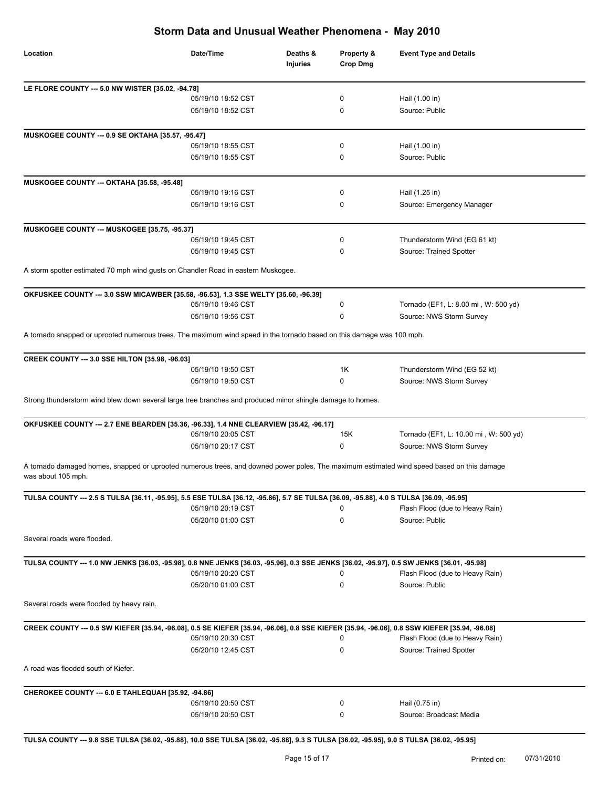| Location                                                                                                                                                         | Date/Time          | Deaths &<br><b>Injuries</b> | Property &<br><b>Crop Dmg</b> | <b>Event Type and Details</b>         |
|------------------------------------------------------------------------------------------------------------------------------------------------------------------|--------------------|-----------------------------|-------------------------------|---------------------------------------|
| LE FLORE COUNTY --- 5.0 NW WISTER [35.02, -94.78]                                                                                                                |                    |                             |                               |                                       |
|                                                                                                                                                                  | 05/19/10 18:52 CST |                             | 0                             | Hail (1.00 in)                        |
|                                                                                                                                                                  | 05/19/10 18:52 CST |                             | 0                             | Source: Public                        |
| MUSKOGEE COUNTY --- 0.9 SE OKTAHA [35.57, -95.47]                                                                                                                |                    |                             |                               |                                       |
|                                                                                                                                                                  | 05/19/10 18:55 CST |                             | 0                             | Hail (1.00 in)                        |
|                                                                                                                                                                  | 05/19/10 18:55 CST |                             | 0                             | Source: Public                        |
| MUSKOGEE COUNTY --- OKTAHA [35.58, -95.48]                                                                                                                       |                    |                             |                               |                                       |
|                                                                                                                                                                  | 05/19/10 19:16 CST |                             | 0                             | Hail (1.25 in)                        |
|                                                                                                                                                                  | 05/19/10 19:16 CST |                             | 0                             | Source: Emergency Manager             |
| MUSKOGEE COUNTY --- MUSKOGEE [35.75, -95.37]                                                                                                                     |                    |                             |                               |                                       |
|                                                                                                                                                                  | 05/19/10 19:45 CST |                             | 0                             | Thunderstorm Wind (EG 61 kt)          |
|                                                                                                                                                                  | 05/19/10 19:45 CST |                             | 0                             | Source: Trained Spotter               |
| A storm spotter estimated 70 mph wind gusts on Chandler Road in eastern Muskogee.                                                                                |                    |                             |                               |                                       |
| OKFUSKEE COUNTY --- 3.0 SSW MICAWBER [35.58, -96.53], 1.3 SSE WELTY [35.60, -96.39]                                                                              |                    |                             |                               |                                       |
|                                                                                                                                                                  | 05/19/10 19:46 CST |                             | 0                             | Tornado (EF1, L: 8.00 mi, W: 500 yd)  |
|                                                                                                                                                                  | 05/19/10 19:56 CST |                             | 0                             | Source: NWS Storm Survey              |
| A tornado snapped or uprooted numerous trees. The maximum wind speed in the tornado based on this damage was 100 mph.                                            |                    |                             |                               |                                       |
| CREEK COUNTY --- 3.0 SSE HILTON [35.98, -96.03]                                                                                                                  |                    |                             |                               |                                       |
|                                                                                                                                                                  | 05/19/10 19:50 CST |                             | 1K                            | Thunderstorm Wind (EG 52 kt)          |
|                                                                                                                                                                  | 05/19/10 19:50 CST |                             | 0                             | Source: NWS Storm Survey              |
| Strong thunderstorm wind blew down several large tree branches and produced minor shingle damage to homes.                                                       |                    |                             |                               |                                       |
| OKFUSKEE COUNTY --- 2.7 ENE BEARDEN [35.36, -96.33], 1.4 NNE CLEARVIEW [35.42, -96.17]                                                                           | 05/19/10 20:05 CST |                             | 15K                           | Tornado (EF1, L: 10.00 mi, W: 500 yd) |
|                                                                                                                                                                  | 05/19/10 20:17 CST |                             | 0                             | Source: NWS Storm Survey              |
| A tornado damaged homes, snapped or uprooted numerous trees, and downed power poles. The maximum estimated wind speed based on this damage<br>was about 105 mph. |                    |                             |                               |                                       |
| TULSA COUNTY --- 2.5 S TULSA [36.11, -95.95], 5.5 ESE TULSA [36.12, -95.86], 5.7 SE TULSA [36.09, -95.88], 4.0 S TULSA [36.09, -95.95]                           |                    |                             |                               |                                       |
|                                                                                                                                                                  | 05/19/10 20:19 CST |                             | 0                             | Flash Flood (due to Heavy Rain)       |
|                                                                                                                                                                  | 05/20/10 01:00 CST |                             | 0                             | Source: Public                        |
| Several roads were flooded.                                                                                                                                      |                    |                             |                               |                                       |
| TULSA COUNTY --- 1.0 NW JENKS [36.03, -95.98], 0.8 NNE JENKS [36.03, -95.96], 0.3 SSE JENKS [36.02, -95.97], 0.5 SW JENKS [36.01, -95.98]                        |                    |                             |                               |                                       |
|                                                                                                                                                                  | 05/19/10 20:20 CST |                             | 0                             | Flash Flood (due to Heavy Rain)       |
|                                                                                                                                                                  | 05/20/10 01:00 CST |                             | 0                             | Source: Public                        |
| Several roads were flooded by heavy rain.                                                                                                                        |                    |                             |                               |                                       |
| CREEK COUNTY --- 0.5 SW KIEFER [35.94, -96.08], 0.5 SE KIEFER [35.94, -96.06], 0.8 SSE KIEFER [35.94, -96.06], 0.8 SSW KIEFER [35.94, -96.08]                    | 05/19/10 20:30 CST |                             | 0                             | Flash Flood (due to Heavy Rain)       |
|                                                                                                                                                                  | 05/20/10 12:45 CST |                             | 0                             | Source: Trained Spotter               |
| A road was flooded south of Kiefer.                                                                                                                              |                    |                             |                               |                                       |
| CHEROKEE COUNTY --- 6.0 E TAHLEQUAH [35.92, -94.86]                                                                                                              |                    |                             |                               |                                       |
|                                                                                                                                                                  | 05/19/10 20:50 CST |                             | 0                             | Hail (0.75 in)                        |
|                                                                                                                                                                  | 05/19/10 20:50 CST |                             | 0                             | Source: Broadcast Media               |

**TULSA COUNTY --- 9.8 SSE TULSA [36.02, -95.88], 10.0 SSE TULSA [36.02, -95.88], 9.3 S TULSA [36.02, -95.95], 9.0 S TULSA [36.02, -95.95]**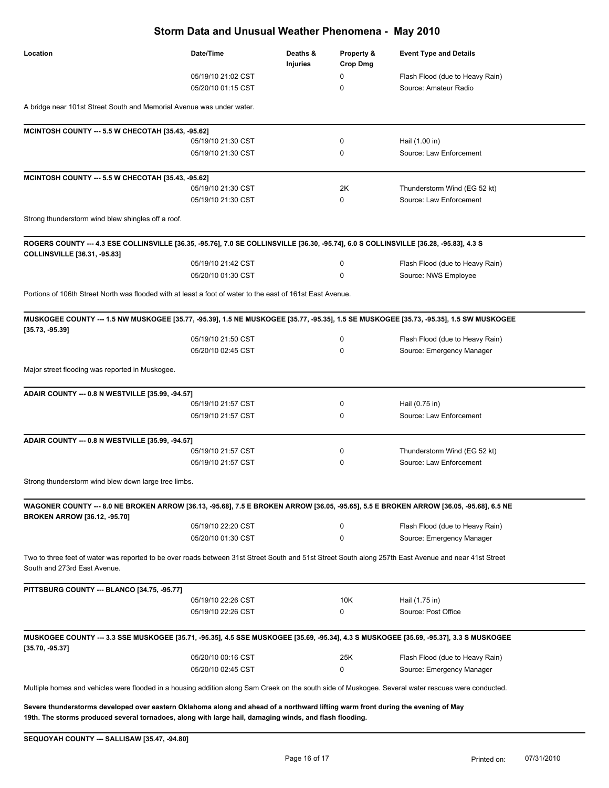| Location                                                                                                                                                                              | Date/Time          | Deaths &<br>Injuries | Property &<br><b>Crop Dmg</b> | <b>Event Type and Details</b>   |
|---------------------------------------------------------------------------------------------------------------------------------------------------------------------------------------|--------------------|----------------------|-------------------------------|---------------------------------|
|                                                                                                                                                                                       | 05/19/10 21:02 CST |                      | 0                             | Flash Flood (due to Heavy Rain) |
|                                                                                                                                                                                       | 05/20/10 01:15 CST |                      | 0                             | Source: Amateur Radio           |
| A bridge near 101st Street South and Memorial Avenue was under water.                                                                                                                 |                    |                      |                               |                                 |
| MCINTOSH COUNTY --- 5.5 W CHECOTAH [35.43, -95.62]                                                                                                                                    |                    |                      |                               |                                 |
|                                                                                                                                                                                       | 05/19/10 21:30 CST |                      | 0                             | Hail (1.00 in)                  |
|                                                                                                                                                                                       | 05/19/10 21:30 CST |                      | 0                             | Source: Law Enforcement         |
| MCINTOSH COUNTY --- 5.5 W CHECOTAH [35.43, -95.62]                                                                                                                                    |                    |                      |                               |                                 |
|                                                                                                                                                                                       | 05/19/10 21:30 CST |                      | 2K                            | Thunderstorm Wind (EG 52 kt)    |
|                                                                                                                                                                                       | 05/19/10 21:30 CST |                      | 0                             | Source: Law Enforcement         |
| Strong thunderstorm wind blew shingles off a roof.                                                                                                                                    |                    |                      |                               |                                 |
| ROGERS COUNTY --- 4.3 ESE COLLINSVILLE [36.35, -95.76], 7.0 SE COLLINSVILLE [36.30, -95.74], 6.0 S COLLINSVILLE [36.28, -95.83], 4.3 S                                                |                    |                      |                               |                                 |
| <b>COLLINSVILLE</b> [36.31, -95.83]                                                                                                                                                   |                    |                      |                               |                                 |
|                                                                                                                                                                                       | 05/19/10 21:42 CST |                      | 0                             | Flash Flood (due to Heavy Rain) |
|                                                                                                                                                                                       | 05/20/10 01:30 CST |                      | 0                             | Source: NWS Employee            |
| Portions of 106th Street North was flooded with at least a foot of water to the east of 161st East Avenue.                                                                            |                    |                      |                               |                                 |
| MUSKOGEE COUNTY --- 1.5 NW MUSKOGEE [35.77, -95.39], 1.5 NE MUSKOGEE [35.77, -95.35], 1.5 SE MUSKOGEE [35.73, -95.35], 1.5 SW MUSKOGEE                                                |                    |                      |                               |                                 |
| $[35.73, -95.39]$                                                                                                                                                                     | 05/19/10 21:50 CST |                      | 0                             | Flash Flood (due to Heavy Rain) |
|                                                                                                                                                                                       | 05/20/10 02:45 CST |                      | 0                             | Source: Emergency Manager       |
| Major street flooding was reported in Muskogee.                                                                                                                                       |                    |                      |                               |                                 |
| ADAIR COUNTY --- 0.8 N WESTVILLE [35.99, -94.57]                                                                                                                                      |                    |                      |                               |                                 |
|                                                                                                                                                                                       | 05/19/10 21:57 CST |                      | 0                             | Hail (0.75 in)                  |
|                                                                                                                                                                                       | 05/19/10 21:57 CST |                      | 0                             | Source: Law Enforcement         |
| ADAIR COUNTY --- 0.8 N WESTVILLE [35.99, -94.57]                                                                                                                                      |                    |                      |                               |                                 |
|                                                                                                                                                                                       | 05/19/10 21:57 CST |                      | 0                             | Thunderstorm Wind (EG 52 kt)    |
|                                                                                                                                                                                       | 05/19/10 21:57 CST |                      | 0                             | Source: Law Enforcement         |
| Strong thunderstorm wind blew down large tree limbs.                                                                                                                                  |                    |                      |                               |                                 |
| WAGONER COUNTY --- 8.0 NE BROKEN ARROW [36.13, -95.68], 7.5 E BROKEN ARROW [36.05, -95.65], 5.5 E BROKEN ARROW [36.05, -95.68], 6.5 NE                                                |                    |                      |                               |                                 |
| <b>BROKEN ARROW [36.12, -95.70]</b>                                                                                                                                                   | 05/19/10 22:20 CST |                      | 0                             | Flash Flood (due to Heavy Rain) |
|                                                                                                                                                                                       | 05/20/10 01:30 CST |                      | 0                             | Source: Emergency Manager       |
| Two to three feet of water was reported to be over roads between 31st Street South and 51st Street South along 257th East Avenue and near 41st Street<br>South and 273rd East Avenue. |                    |                      |                               |                                 |
| PITTSBURG COUNTY --- BLANCO [34.75, -95.77]                                                                                                                                           |                    |                      |                               |                                 |
|                                                                                                                                                                                       | 05/19/10 22:26 CST |                      | 10K                           | Hail (1.75 in)                  |
|                                                                                                                                                                                       | 05/19/10 22:26 CST |                      | 0                             | Source: Post Office             |
| MUSKOGEE COUNTY --- 3.3 SSE MUSKOGEE [35.71, -95.35], 4.5 SSE MUSKOGEE [35.69, -95.34], 4.3 S MUSKOGEE [35.69, -95.37], 3.3 S MUSKOGEE                                                |                    |                      |                               |                                 |
| [35.70, -95.37]                                                                                                                                                                       | 05/20/10 00:16 CST |                      | 25K                           | Flash Flood (due to Heavy Rain) |
|                                                                                                                                                                                       | 05/20/10 02:45 CST |                      | 0                             | Source: Emergency Manager       |
| Multiple homes and vehicles were flooded in a housing addition along Sam Creek on the south side of Muskogee. Several water rescues were conducted.                                   |                    |                      |                               |                                 |

**Severe thunderstorms developed over eastern Oklahoma along and ahead of a northward lifting warm front during the evening of May 19th. The storms produced several tornadoes, along with large hail, damaging winds, and flash flooding.**